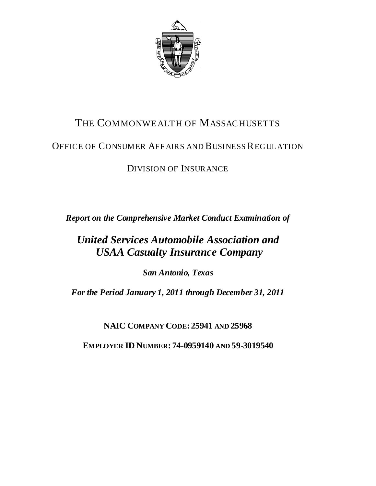

# THE COMMONWEALTH OF MASSACHUSETTS

## OFFICE OF CONSUMER AFF AIRS AND BUSINESS REGULATION

# DIVISION OF INSURANCE

*Report on the Comprehensive Market Conduct Examination of* 

# *United Services Automobile Association and USAA Casualty Insurance Company*

*San Antonio, Texas*

*For the Period January 1, 2011 through December 31, 2011*

**NAIC COMPANY CODE: 25941 AND 25968**

**EMPLOYER ID NUMBER: 74-0959140 AND 59-3019540**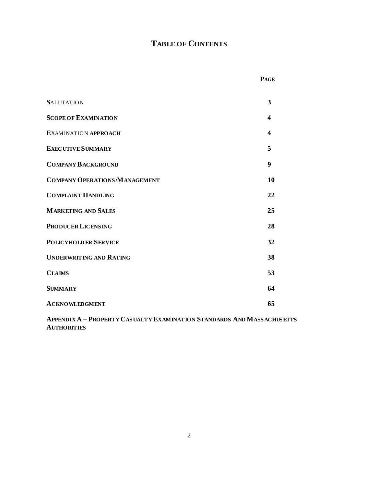## **TABLE OF CONTENTS**

| ×<br>., |
|---------|
|---------|

| <b>SALUTATION</b>                    | 3  |
|--------------------------------------|----|
| <b>SCOPE OF EXAMINATION</b>          | 4  |
| <b>EXAMINATION APPROACH</b>          | 4  |
| <b>EXECUTIVE SUMMARY</b>             | 5  |
| <b>COMPANY BACKGROUND</b>            | 9  |
| <b>COMPANY OPERATIONS/MANAGEMENT</b> | 10 |
| <b>COMPLAINT HANDLING</b>            | 22 |
| <b>MARKETING AND SALES</b>           | 25 |
| <b>PRODUCER LICENSING</b>            | 28 |
| <b>POLICYHOLDER SERVICE</b>          | 32 |
| <b>UNDERWRITING AND RATING</b>       | 38 |
| <b>CLAIMS</b>                        | 53 |
| <b>SUMMARY</b>                       | 64 |
| <b>ACKNOWLEDGMENT</b>                | 65 |

**APPENDIX A – PROPERTY CASUALTY EXAMINATION STANDARDS AND MASSACHUSETTS AUTHORITIES**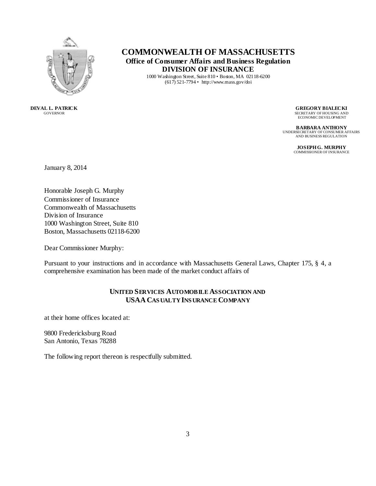

## **COMMONWEALTH OF MASSACHUSETTS Office of Consumer Affairs and Business Regulation DIVISION OF INSURANCE**

1000 Washington Street, Suite 810 • Boston, MA 02118-6200 (617) 521-7794 • http://www.mass.gov/doi

**DEVAL L. PATRICK** GOVERNOR

**GREGORY BIALECKI**

SECRETARY OF HOUSING AND ECONOMIC DEVELOPMENT

**BARBARA ANTHONY** UNDERSECRETARY OF CONSUMER AFFAIRS AND BUSINESS REGULATION

> **JOSEPH G. MURPHY** COMMISSIONER OF INSURANCE

January 8, 2014

Honorable Joseph G. Murphy Commissioner of Insurance Commonwealth of Massachusetts Division of Insurance 1000 Washington Street, Suite 810 Boston, Massachusetts 02118-6200

Dear Commissioner Murphy:

Pursuant to your instructions and in accordance with Massachusetts General Laws, Chapter 175, § 4, a comprehensive examination has been made of the market conduct affairs of

## **UNITED SERVICES AUTOMOBILE ASSOCIATION AND USAA CAS UALTY INS URANCE COMPANY**

at their home offices located at:

9800 Fredericksburg Road San Antonio, Texas 78288

The following report thereon is respectfully submitted.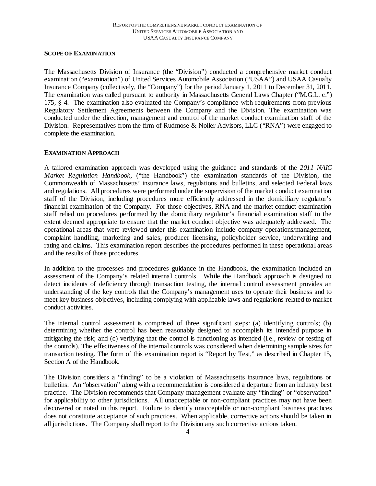#### **SCOPE OF EXAMINATION**

The Massachusetts Division of Insurance (the "Division") conducted a comprehensive market conduct examination ("examination") of United Services Automobile Association ("USAA") and USAA Casualty Insurance Company (collectively, the "Company") for the period January 1, 2011 to December 31, 2011. The examination was called pursuant to authority in Massachusetts General Laws Chapter ("M.G.L. c.") 175, § 4. The examination also evaluated the Company's compliance with requirements from previous Regulatory Settlement Agreements between the Company and the Division. The examination was conducted under the direction, management and control of the market conduct examination staff of the Division. Representatives from the firm of Rudmose & Noller Advisors, LLC ("RNA") were engaged to complete the examination.

#### **EXAMINATION APPROACH**

A tailored examination approach was developed using the guidance and standards of the *2011 NAIC Market Regulation Handbook,* ("the Handbook") the examination standards of the Division, the Commonwealth of Massachusetts' insurance laws, regulations and bulletins, and selected Federal laws and regulations. All procedures were performed under the supervision of the market conduct examination staff of the Division, including procedures more efficiently addressed in the domiciliary regulator's financial examination of the Company. For those objectives, RNA and the market conduct examination staff relied on procedures performed by the domiciliary regulator's financial examination staff to the extent deemed appropriate to ensure that the market conduct objective was adequately addressed. The operational areas that were reviewed under this examination include company operations/management, complaint handling, marketing and sales, producer licensing, policyholder service, underwriting and rating and claims. This examination report describes the procedures performed in these operational areas and the results of those procedures.

In addition to the processes and procedures guidance in the Handbook, the examination included an assessment of the Company's related internal controls. While the Handbook approach is designed to detect incidents of deficiency through transaction testing, the internal control assessment provides an understanding of the key controls that the Company's management uses to operate their business and to meet key business objectives, including complying with applicable laws and regulations related to market conduct activities.

The internal control assessment is comprised of three significant steps: (a) identifying controls; (b) determining whether the control has been reasonably designed to accomplish its intended purpose in mitigating the risk; and (c) verifying that the control is functioning as intended (i.e., review or testing of the controls). The effectiveness of the internal controls was considered when determining sample sizes for transaction testing. The form of this examination report is "Report by Test," as described in Chapter 15, Section A of the Handbook.

The Division considers a "finding" to be a violation of Massachusetts insurance laws, regulations or bulletins. An "observation" along with a recommendation is considered a departure from an industry best practice. The Division recommends that Company management evaluate any "finding" or "observation" for applicability to other jurisdictions. All unacceptable or non-compliant practices may not have been discovered or noted in this report. Failure to identify unacceptable or non-compliant business practices does not constitute acceptance of such practices. When applicable, corrective actions should be taken in all jurisdictions. The Company shall report to the Division any such corrective actions taken.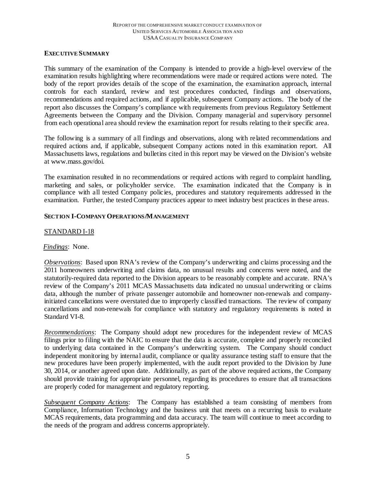#### **EXECUTIVE SUMMARY**

This summary of the examination of the Company is intended to provide a high-level overview of the examination results highlighting where recommendations were made or required actions were noted. The body of the report provides details of the scope of the examination, the examination approach, internal controls for each standard, review and test procedures conducted, findings and observations, recommendations and required actions, and if applicable, subsequent Company actions. The body of the report also discusses the Company's compliance with requirements from previous Regulatory Settlement Agreements between the Company and the Division. Company managerial and supervisory personnel from each operational area should review the examination report for results relating to their specific area.

The following is a summary of all findings and observations, along with related recommendations and required actions and, if applicable, subsequent Company actions noted in this examination report. All Massachusetts laws, regulations and bulletins cited in this report may be viewed on the Division's website at www.mass.gov/doi.

The examination resulted in no recommendations or required actions with regard to complaint handling, marketing and sales, or policyholder service. The examination indicated that the Company is in compliance with all tested Company policies, procedures and statutory requirements addressed in the examination. Further, the tested Company practices appear to meet industry best practices in these areas.

#### **SECTION I-COMPANY OPERATIONS/MANAGEMENT**

## STANDARD I-18

## *Findings*:None.

*Observations*: Based upon RNA's review of the Company's underwriting and claims processing and the 2011 homeowners underwriting and claims data, no unusual results and concerns were noted, and the statutorily-required data reported to the Division appears to be reasonably complete and accurate. RNA's review of the Company's 2011 MCAS Massachusetts data indicated no unusual underwriting or claims data, although the number of private passenger automobile and homeowner non-renewals and companyinitiated cancellations were overstated due to improperly classified transactions. The review of company cancellations and non-renewals for compliance with statutory and regulatory requirements is noted in Standard VI-8.

*Recommendations*: The Company should adopt new procedures for the independent review of MCAS filings prior to filing with the NAIC to ensure that the data is accurate, complete and properly reconciled to underlying data contained in the Company's underwriting system. The Company should conduct independent monitoring by internal audit, compliance or quality assurance testing staff to ensure that the new procedures have been properly implemented, with the audit report provided to the Division by June 30, 2014, or another agreed upon date. Additionally, as part of the above required actions, the Company should provide training for appropriate personnel, regarding its procedures to ensure that all transactions are properly coded for management and regulatory reporting.

*Subsequent Company Actions*: The Company has established a team consisting of members from Compliance, Information Technology and the business unit that meets on a recurring basis to evaluate MCAS requirements, data programming and data accuracy. The team will continue to meet according to the needs of the program and address concerns appropriately.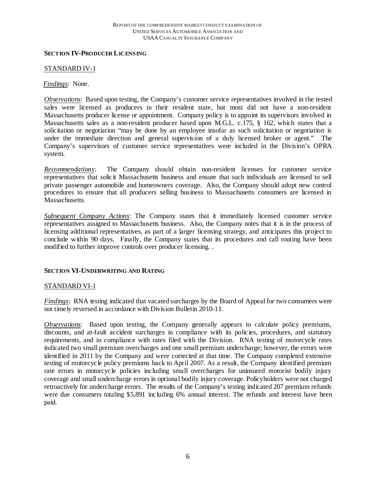#### **SECTION IV-PRODUCER LICENSING**

#### STANDARD IV-1

#### *Findings*:None.

*Observations*: Based upon testing, the Company's customer service representatives involved in the tested sales were licensed as producers in their resident state, but most did not have a non-resident Massachusetts producer license or appointment. Company policy is to appoint its supervisors involved in Massachusetts sales as a non-resident producer based upon M.G.L. c.175, § 162, which states that a solicitation or negotiation "may be done by an employee insofar as such solicitation or negotiation is under the immediate direction and general supervision of a duly licensed broker or agent." The Company's supervisors of customer service representatives were included in the Division's OPRA system.

*Recommendations*: The Company should obtain non-resident licenses for customer service representatives that solicit Massachusetts business and ensure that such individuals are licensed to sell private passenger automobile and homeowners coverage. Also, the Company should adopt new control procedures to ensure that all producers selling business to Massachusetts consumers are licensed in Massachusetts.

*Subsequent Company Actions*: The Company states that it immediately licensed customer service representatives assigned to Massachusetts business. Also, the Company notes that it is in the process of licensing additional representatives, as part of a larger licensing strategy, and anticipates this project to conclude within 90 days. Finally, the Company states that its procedures and call routing have been modified to further improve controls over producer licensing. .

#### **SECTION VI-UNDERWRITING AND RATING**

#### STANDARD VI-1

*Findings*: RNA testing indicated that vacated surcharges by the Board of Appeal for two consumers were not timely reversed in accordance with Division Bulletin 2010-11.

*Observations*: Based upon testing, the Company generally appears to calculate policy premiums, discounts, and at-fault accident surcharges in compliance with its policies, procedures, and statutory requirements, and in compliance with rates filed with the Division. RNA testing of motorcycle rates indicated two small premium overcharges and one small premium undercharge; however, the errors were identified in 2011 by the Company and were corrected at that time. The Company completed extensive testing of motorcycle policy premiums back to April 2007. As a result, the Company identified premium rate errors in motorcycle policies including small overcharges for uninsured motorist bodily injury coverage and small undercharge errors in optional bodily injury coverage. Policyholders were not charged retroactively for undercharge errors. The results of the Company's testing indicated 207 premium refunds were due consumers totaling \$5,891 including 6% annual interest. The refunds and interest have been paid.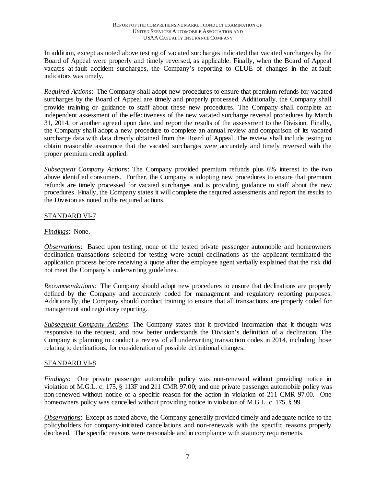In addition, except as noted above testing of vacated surcharges indicated that vacated surcharges by the Board of Appeal were properly and timely reversed, as applicable. Finally, when the Board of Appeal vacates at-fault accident surcharges, the Company's reporting to CLUE of changes in the at-fault indicators was timely.

*Required Actions*: The Company shall adopt new procedures to ensure that premium refunds for vacated surcharges by the Board of Appeal are timely and properly processed. Additionally, the Company shall provide training or guidance to staff about these new procedures. The Company shall complete an independent assessment of the effectiveness of the new vacated surcharge reversal procedures by March 31, 2014, or another agreed upon date, and report the results of the assessment to the Division. Finally, the Company shall adopt a new procedure to complete an annual review and comparison of its vacated surcharge data with data directly obtained from the Board of Appeal. The review shall include testing to obtain reasonable assurance that the vacated surcharges were accurately and timely reversed with the proper premium credit applied.

*Subsequent Company Actions*: The Company provided premium refunds plus 6% interest to the two above identified consumers. Further, the Company is adopting new procedures to ensure that premium refunds are timely processed for vacated surcharges and is providing guidance to staff about the new procedures. Finally, the Company states it will complete the required assessments and report the results to the Division as noted in the required actions.

## STANDARD VI-7

## *Findings*:None.

*Observations*: Based upon testing, none of the tested private passenger automobile and homeowners declination transactions selected for testing were actual declinations as the applicant terminated the application process before receiving a quote after the employee agent verbally explained that the risk did not meet the Company's underwriting guidelines.

*Recommendations*: The Company should adopt new procedures to ensure that declinations are properly defined by the Company and accurately coded for management and regulatory reporting purposes. Additionally, the Company should conduct training to ensure that all transactions are properly coded for management and regulatory reporting.

*Subsequent Company Actions*: The Company states that it provided information that it thought was responsive to the request, and now better understands the Division's definition of a declination. The Company is planning to conduct a review of all underwriting transaction codes in 2014, including those relating to declinations, for consideration of possible definitional changes.

## STANDARD VI-8

*Findings*: One private passenger automobile policy was non-renewed without providing notice in violation of M.G.L. c. 175, § 113F and 211 CMR 97.00; and one private passenger automobile policy was non-renewed without notice of a specific reason for the action in violation of 211 CMR 97.00. One homeowners policy was cancelled without providing notice in violation of M.G.L. c. 175, § 99.

*Observations*:Except as noted above, the Company generally provided timely and adequate notice to the policyholders for company-initiated cancellations and non-renewals with the specific reasons properly disclosed. The specific reasons were reasonable and in compliance with statutory requirements.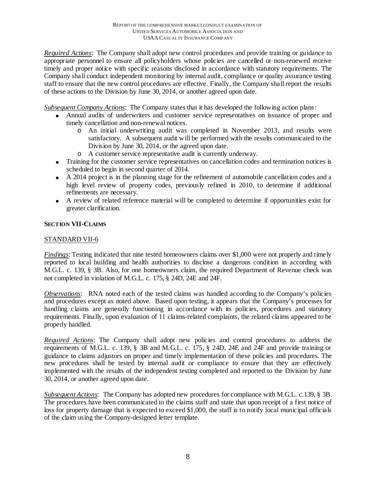*Required Actions*: The Company shall adopt new control procedures and provide training or guidance to appropriate personnel to ensure all policyholders whose policies are cancelled or non-renewed receive timely and proper notice with specific reasons disclosed in accordance with statutory requirements. The Company shall conduct independent monitoring by internal audit, compliance or quality assurance testing staff to ensure that the new control procedures are effective. Finally, the Company shall report the results of these actions to the Division by June 30, 2014, or another agreed upon date.

*Subsequent Company Actions*: The Company states that it has developed the following action plans:

- Annual audits of underwriters and customer service representatives on issuance of proper and timely cancellation and non-renewal notices.
	- o An initial underwriting audit was completed in November 2013, and results were satisfactory. A subsequent audit will be performed with the results communicated to the Division by June 30, 2014, or the agreed upon date.
	- o A customer service representative audit is currently underway.
- Training for the customer service representatives on cancellation codes and termination notices is scheduled to begin in second quarter of 2014.
- A 2014 project is in the planning stage for the refinement of automobile cancellation codes and a high level review of property codes, previously refined in 2010, to determine if additional refinements are necessary.
- A review of related reference material will be completed to determine if opportunities exist for greater clarification.

## **SECTION VII-CLAIMS**

## STANDARD VII-6

*Findings*: Testing indicated that nine tested homeowners claims over \$1,000 were not properly and timely reported to local building and health authorities to disclose a dangerous condition in according with M.G.L. c. 139, § 3B. Also, for one homeowners claim, the required Department of Revenue check was not completed in violation of M.G.L. c. 175, § 24D, 24E and 24F.

*Observations*: RNA noted each of the tested claims was handled according to the Company's policies and procedures except as noted above. Based upon testing, it appears that the Company's processes for handling claims are generally functioning in accordance with its policies, procedures and statutory requirements. Finally, upon evaluation of 11 claims-related complaints, the related claims appeared to be properly handled.

*Required Actions*: The Company shall adopt new policies and control procedures to address the requirements of M.G.L. c. 139, § 3B and M.G.L. c. 175, § 24D, 24E and 24F and provide training or guidance to claims adjustors on proper and timely implementation of these policies and procedures. The new procedures shall be tested by internal audit or compliance to ensure that they are effectively implemented with the results of the independent testing completed and reported to the Division by June 30, 2014, or another agreed upon date.

*Subsequent Actions:* The Company has adopted new procedures for compliance with M.G.L. c.139, § 3B. The procedures have been communicated to the claims staff and state that upon receipt of a first notice of loss for property damage that is expected to exceed \$1,000, the staff is to notify local municipal officials of the claim using the Company-designed letter template.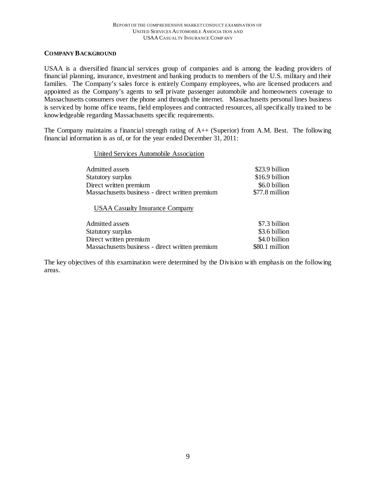#### **COMPANY BACKGROUND**

USAA is a diversified financial services group of companies and is among the leading providers of financial planning, insurance, investment and banking products to members of the U.S. military and their families. The Company's sales force is entirely Company employees, who are licensed producers and appointed as the Company's agents to sell private passenger automobile and homeowners coverage to Massachusetts consumers over the phone and through the internet. Massachusetts personal lines business is serviced by home office teams, field employees and contracted resources, all specifically trained to be knowledgeable regarding Massachusetts specific requirements.

The Company maintains a financial strength rating of A++ (Superior) from A.M. Best. The following financial information is as of, or for the year ended December 31, 2011:

#### United Services Automobile Association

| Admitted assets<br>Statutory surplus<br>Direct written premium<br>Massachusetts business - direct written premium | \$23.9 billion<br>\$16.9 billion<br>\$6.0 billion<br>\$77.8 million |
|-------------------------------------------------------------------------------------------------------------------|---------------------------------------------------------------------|
| <b>USAA Casualty Insurance Company</b>                                                                            |                                                                     |
| Admitted assets                                                                                                   | \$7.3 billion                                                       |
| Statutory surplus                                                                                                 | \$3.6 billion                                                       |
| Direct written premium                                                                                            | \$4.0 billion                                                       |

The key objectives of this examination were determined by the Division with emphasis on the following areas.

Massachusetts business - direct written premium \$80.1 million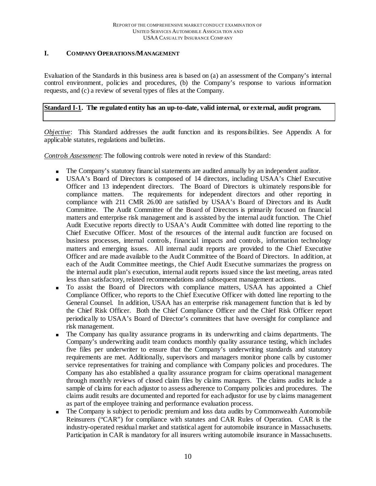## **I. COMPANY OPERATIONS/MANAGEMENT**

Evaluation of the Standards in this business area is based on (a) an assessment of the Company's internal control environment, policies and procedures, (b) the Company's response to various information requests, and (c) a review of several types of files at the Company.

## **Standard I-1. The regulated entity has an up-to-date, valid internal, or external, audit program.**

*Objective*: This Standard addresses the audit function and its responsibilities. See Appendix A for applicable statutes, regulations and bulletins.

*Controls Assessment*: The following controls were noted in review of this Standard:

- The Company's statutory financial statements are audited annually by an independent auditor.
- USAA's Board of Directors is composed of 14 directors, including USAA's Chief Executive Officer and 13 independent directors. The Board of Directors is ultimately responsible for compliance matters. The requirements for independent directors and other reporting in compliance with 211 CMR 26.00 are satisfied by USAA's Board of Directors and its Audit Committee. The Audit Committee of the Board of Directors is primarily focused on financial matters and enterprise risk management and is assisted by the internal audit function. The Chief Audit Executive reports directly to USAA's Audit Committee with dotted line reporting to the Chief Executive Officer. Most of the resources of the internal audit function are focused on business processes, internal controls, financial impacts and controls, information technology matters and emerging issues. All internal audit reports are provided to the Chief Executive Officer and are made available to the Audit Committee of the Board of Directors. In addition, at each of the Audit Committee meetings, the Chief Audit Executive summarizes the progress on the internal audit plan's execution, internal audit reports issued since the last meeting, areas rated less than satisfactory, related recommendations and subsequent management actions.
- To assist the Board of Directors with compliance matters, USAA has appointed a Chief Compliance Officer, who reports to the Chief Executive Officer with dotted line reporting to the General Counsel. In addition, USAA has an enterprise risk management function that is led by the Chief Risk Officer. Both the Chief Compliance Officer and the Chief Risk Officer report periodically to USAA's Board of Director's committees that have oversight for compliance and risk management.
- The Company has quality assurance programs in its underwriting and claims departments. The Company's underwriting audit team conducts monthly quality assurance testing, which includes five files per underwriter to ensure that the Company's underwriting standards and statutory requirements are met. Additionally, supervisors and managers monitor phone calls by customer service representatives for training and compliance with Company policies and procedures. The Company has also established a quality assurance program for claims operational management through monthly reviews of closed claim files by claims managers. The claims audits include a sample of claims for each adjustor to assess adherence to Company policies and procedures. The claims audit results are documented and reported for each adjustor for use by claims management as part of the employee training and performance evaluation process.
- The Company is subject to periodic premium and loss data audits by Commonwealth Automobile Reinsurers ("CAR") for compliance with statutes and CAR Rules of Operation. CAR is the industry-operated residual market and statistical agent for automobile insurance in Massachusetts. Participation in CAR is mandatory for all insurers writing automobile insurance in Massachusetts.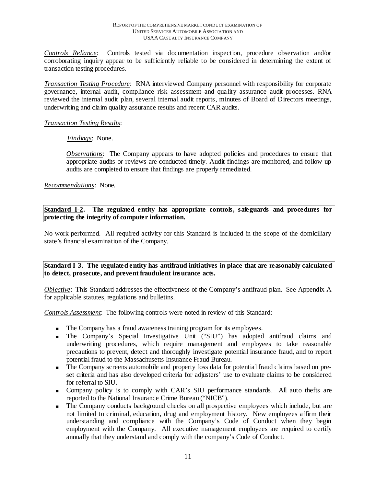*Controls Reliance*: Controls tested via documentation inspection, procedure observation and/or corroborating inquiry appear to be sufficiently reliable to be considered in determining the extent of transaction testing procedures.

*Transaction Testing Procedure*: RNA interviewed Company personnel with responsibility for corporate governance, internal audit, compliance risk assessment and quality assurance audit processes. RNA reviewed the internal audit plan, several internal audit reports, minutes of Board of Directors meetings, underwriting and claim quality assurance results and recent CAR audits.

#### *Transaction Testing Results*:

*Findings*:None.

*Observations*:The Company appears to have adopted policies and procedures to ensure that appropriate audits or reviews are conducted timely. Audit findings are monitored, and follow up audits are completed to ensure that findings are properly remediated.

*Recommendations*: None.

Standard I-2. The regulated entity has appropriate controls, safeguards and procedures for **protecting the integrity of computer information.**

No work performed. All required activity for this Standard is included in the scope of the domiciliary state's financial examination of the Company.

**Standard I-3. The regulated entity has antifraud initiatives in place that are reasonably calculated to detect, prosecute, and prevent fraudulent insurance acts.**

*Objective*: This Standard addresses the effectiveness of the Company's antifraud plan. See Appendix A for applicable statutes, regulations and bulletins.

*Controls Assessment*: The following controls were noted in review of this Standard:

- The Company has a fraud awareness training program for its employees.
- The Company's Special Investigative Unit ("SIU") has adopted antifraud claims and underwriting procedures, which require management and employees to take reasonable precautions to prevent, detect and thoroughly investigate potential insurance fraud, and to report potential fraud to the Massachusetts Insurance Fraud Bureau.
- The Company screens automobile and property loss data for potential fraud claims based on preset criteria and has also developed criteria for adjusters' use to evaluate claims to be considered for referral to SIU.
- Company policy is to comply with CAR's SIU performance standards. All auto thefts are reported to the National Insurance Crime Bureau ("NICB").
- The Company conducts background checks on all prospective employees which include, but are not limited to criminal, education, drug and employment history. New employees affirm their understanding and compliance with the Company's Code of Conduct when they begin employment with the Company. All executive management employees are required to certify annually that they understand and comply with the company's Code of Conduct.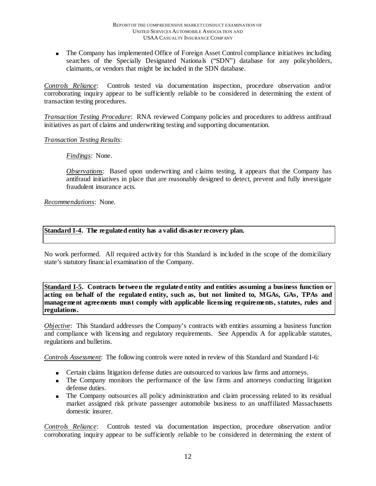The Company has implemented Office of Foreign Asset Control compliance initiatives including searches of the Specially Designated Nationals ("SDN") database for any policyholders, claimants, or vendors that might be included in the SDN database.

*Controls Reliance*: Controls tested via documentation inspection, procedure observation and/or corroborating inquiry appear to be sufficiently reliable to be considered in determining the extent of transaction testing procedures.

*Transaction Testing Procedure*: RNA reviewed Company policies and procedures to address antifraud initiatives as part of claims and underwriting testing and supporting documentation.

## *Transaction Testing Results*:

*Findings*:None.

*Observations*: Based upon underwriting and claims testing, it appears that the Company has antifraud initiatives in place that are reasonably designed to detect, prevent and fully investigate fraudulent insurance acts.

*Recommendations*: None.

#### **Standard I-4. The regulated entity has a valid disaster recovery plan.**

No work performed. All required activity for this Standard is included in the scope of the domiciliary state's statutory financial examination of the Company.

**Standard I-5. Contracts between the regulated entity and entities assuming a business function or acting on behalf of the regulated entity, such as, but not limited to, MGAs, GAs, TPAs and management agreements must comply with applicable licensing requirements, statutes, rules and regulations.** 

*Objective*: This Standard addresses the Company's contracts with entities assuming a business function and compliance with licensing and regulatory requirements. See Appendix A for applicable statutes, regulations and bulletins.

*Controls Assessment*: The following controls were noted in review of this Standard and Standard I-6:

- Certain claims litigation defense duties are outsourced to various law firms and attorneys.
- The Company monitors the performance of the law firms and attorneys conducting litigation defense duties.
- The Company outsources all policy administration and claim processing related to its residual market assigned risk private passenger automobile business to an unaffiliated Massachusetts domestic insurer.

*Controls Reliance*: Controls tested via documentation inspection, procedure observation and/or corroborating inquiry appear to be sufficiently reliable to be considered in determining the extent of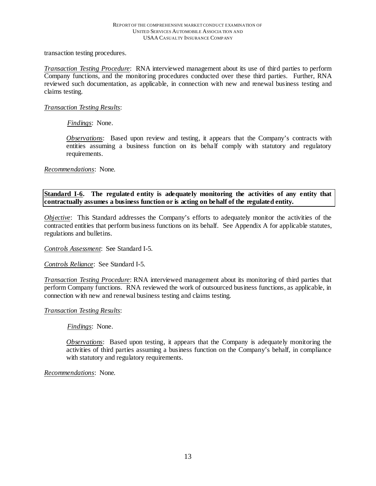transaction testing procedures.

*Transaction Testing Procedure*:RNA interviewed management about its use of third parties to perform Company functions, and the monitoring procedures conducted over these third parties. Further, RNA reviewed such documentation, as applicable, in connection with new and renewal business testing and claims testing.

#### *Transaction Testing Results*:

*Findings*:None.

*Observations*: Based upon review and testing, it appears that the Company's contracts with entities assuming a business function on its behalf comply with statutory and regulatory requirements.

*Recommendations*: None.

**Standard I-6. The regulated entity is adequately monitoring the activities of any entity that contractually assumes a business function or is acting on behalf of the regulated entity.**

*Objective*: This Standard addresses the Company's efforts to adequately monitor the activities of the contracted entities that perform business functions on its behalf. See Appendix A for applicable statutes, regulations and bulletins.

*Controls Assessment*: See Standard I-5.

*Controls Reliance*: See Standard I-5.

*Transaction Testing Procedure*: RNA interviewed management about its monitoring of third parties that perform Company functions. RNA reviewed the work of outsourced business functions, as applicable, in connection with new and renewal business testing and claims testing.

#### *Transaction Testing Results*:

*Findings*:None.

*Observations*: Based upon testing, it appears that the Company is adequately monitoring the activities of third parties assuming a business function on the Company's behalf, in compliance with statutory and regulatory requirements.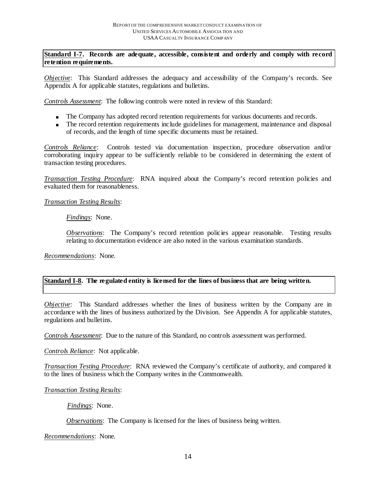**Standard I-7. Records are adequate, accessible, consistent and orderly and comply with record retention requirements.** 

*Objective*: This Standard addresses the adequacy and accessibility of the Company's records. See Appendix A for applicable statutes, regulations and bulletins.

*Controls Assessment*: The following controls were noted in review of this Standard:

- The Company has adopted record retention requirements for various documents and records.
- The record retention requirements include guidelines for management, maintenance and disposal of records, and the length of time specific documents must be retained.

*Controls Reliance*: Controls tested via documentation inspection, procedure observation and/or corroborating inquiry appear to be sufficiently reliable to be considered in determining the extent of transaction testing procedures.

*Transaction Testing Procedure*: RNA inquired about the Company's record retention policies and evaluated them for reasonableness.

#### *Transaction Testing Results*:

*Findings*:None.

*Observations*: The Company's record retention policies appear reasonable. Testing results relating to documentation evidence are also noted in the various examination standards.

*Recommendations*: None.

## **Standard I-8. The regulated entity is licensed for the lines of business that are being written.**

*Objective*: This Standard addresses whether the lines of business written by the Company are in accordance with the lines of business authorized by the Division. See Appendix A for applicable statutes, regulations and bulletins.

*Controls Assessment*: Due to the nature of this Standard, no controls assessment was performed.

*Controls Reliance*: Not applicable.

*Transaction Testing Procedure*: RNA reviewed the Company's certificate of authority, and compared it to the lines of business which the Company writes in the Commonwealth.

*Transaction Testing Results*:

*Findings*:None.

*Observations*:The Company is licensed for the lines of business being written.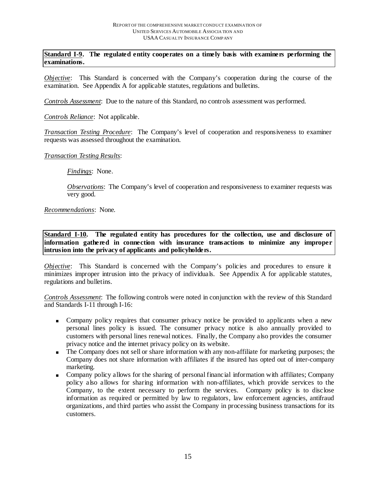**Standard I-9. The regulated entity cooperates on a timely basis with examiners performing the examinations.** 

*Objective*: This Standard is concerned with the Company's cooperation during the course of the examination. See Appendix A for applicable statutes, regulations and bulletins.

*Controls Assessment*: Due to the nature of this Standard, no controls assessment was performed.

*Controls Reliance*: Not applicable.

*Transaction Testing Procedure*: The Company's level of cooperation and responsiveness to examiner requests was assessed throughout the examination.

#### *Transaction Testing Results*:

*Findings*: None.

*Observations*:The Company's level of cooperation and responsiveness to examiner requests was very good.

#### *Recommendations*: None.

**Standard I-10***.* **The regulated entity has procedures for the collection, use and disclosure of information gathered in connection with insurance transactions to minimize any improper intrusion into the privacy of applicants and policyholders.** 

*Objective*: This Standard is concerned with the Company's policies and procedures to ensure it minimizes improper intrusion into the privacy of individuals. See Appendix A for applicable statutes, regulations and bulletins.

*Controls Assessment*: The following controls were noted in conjunction with the review of this Standard and Standards I-11 through I-16:

- Company policy requires that consumer privacy notice be provided to applicants when a new personal lines policy is issued. The consumer privacy notice is also annually provided to customers with personal lines renewal notices. Finally, the Company also provides the consumer privacy notice and the internet privacy policy on its website.
- The Company does not sell or share information with any non-affiliate for marketing purposes; the Company does not share information with affiliates if the insured has opted out of inter-company marketing.
- Company policy allows for the sharing of personal financial information with affiliates; Company policy also allows for sharing information with non-affiliates, which provide services to the Company, to the extent necessary to perform the services. Company policy is to disclose information as required or permitted by law to regulators, law enforcement agencies, antifraud organizations, and third parties who assist the Company in processing business transactions for its customers.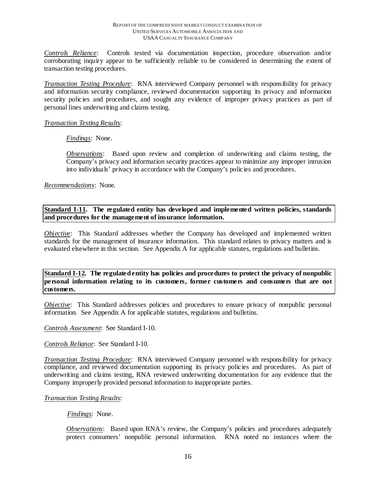*Controls Reliance*: Controls tested via documentation inspection, procedure observation and/or corroborating inquiry appear to be sufficiently reliable to be considered in determining the extent of transaction testing procedures.

*Transaction Testing Procedure*: RNA interviewed Company personnel with responsibility for privacy and information security compliance, reviewed documentation supporting its privacy and information security policies and procedures, and sought any evidence of improper privacy practices as part of personal lines underwriting and claims testing.

#### *Transaction Testing Results*:

*Findings*:None.

*Observations*: Based upon review and completion of underwriting and claims testing, the Company's privacy and information security practices appear to minimize any improper intrusion into individuals' privacy in accordance with the Company's policies and procedures.

*Recommendations*: None.

#### **Standard I-11. The regulated entity has developed and implemented written policies, standards and procedures for the management of insurance information.**

*Objective*: This Standard addresses whether the Company has developed and implemented written standards for the management of insurance information. This standard relates to privacy matters and is evaluated elsewhere in this section. See Appendix A for applicable statutes, regulations and bulletins.

**Standard I-12. The regulated entity has policies and procedures to protect the privacy of nonpublic personal information relating to its customers, former customers and consumers that are not customers.**

*Objective*: This Standard addresses policies and procedures to ensure privacy of nonpublic personal information. See Appendix A for applicable statutes, regulations and bulletins.

*Controls Assessment*: See Standard I-10.

*Controls Reliance*: See Standard I-10.

*Transaction Testing Procedure*: RNA interviewed Company personnel with responsibility for privacy compliance, and reviewed documentation supporting its privacy policies and procedures. As part of underwriting and claims testing, RNA reviewed underwriting documentation for any evidence that the Company improperly provided personal information to inappropriate parties.

#### *Transaction Testing Results*:

*Findings*:None.

*Observations*: Based upon RNA's review, the Company's policies and procedures adequately protect consumers' nonpublic personal information. RNA noted no instances where the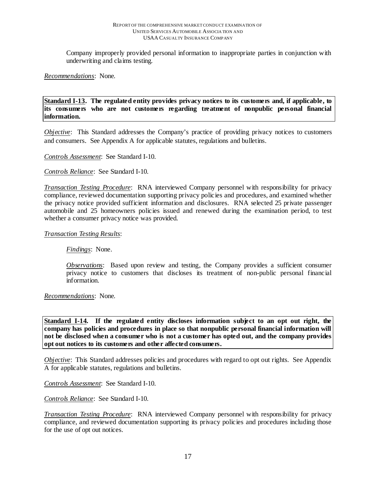Company improperly provided personal information to inappropriate parties in conjunction with underwriting and claims testing.

*Recommendations*: None.

**Standard I-13. The regulated entity provides privacy notices to its customers and, if applicable, to its consumers who are not customers regarding treatment of nonpublic personal financial information.**

*Objective*: This Standard addresses the Company's practice of providing privacy notices to customers and consumers. See Appendix A for applicable statutes, regulations and bulletins.

*Controls Assessment*: See Standard I-10.

*Controls Reliance*: See Standard I-10.

*Transaction Testing Procedure*: RNA interviewed Company personnel with responsibility for privacy compliance, reviewed documentation supporting privacy policies and procedures, and examined whether the privacy notice provided sufficient information and disclosures. RNA selected 25 private passenger automobile and 25 homeowners policies issued and renewed during the examination period, to test whether a consumer privacy notice was provided.

*Transaction Testing Results*:

*Findings*:None.

*Observations*: Based upon review and testing, the Company provides a sufficient consumer privacy notice to customers that discloses its treatment of non-public personal financial information.

*Recommendations*: None.

**Standard I-14. If the regulated entity discloses information subject to an opt out right, the company has policies and procedures in place so that nonpublic personal financial information will not be disclosed when a consumer who is not a customer has opted out, and the company provides opt out notices to its customers and other affected consumers.**

*Objective*: This Standard addresses policies and procedures with regard to opt out rights. See Appendix A for applicable statutes, regulations and bulletins.

*Controls Assessment*: See Standard I-10.

*Controls Reliance*: See Standard I-10.

*Transaction Testing Procedure*: RNA interviewed Company personnel with responsibility for privacy compliance, and reviewed documentation supporting its privacy policies and procedures including those for the use of opt out notices.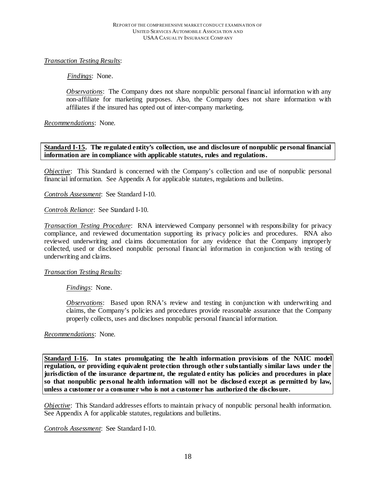## *Transaction Testing Results*:

*Findings*:None.

*Observations*:The Company does not share nonpublic personal financial information with any non-affiliate for marketing purposes. Also, the Company does not share information with affiliates if the insured has opted out of inter-company marketing.

*Recommendations*: None.

## **Standard I-15. The regulated entity's collection, use and disclosure of nonpublic personal financial information are in compliance with applicable statutes, rules and regulations.**

*Objective*: This Standard is concerned with the Company's collection and use of nonpublic personal financial information. See Appendix A for applicable statutes, regulations and bulletins.

*Controls Assessment*: See Standard I-10.

*Controls Reliance*: See Standard I-10.

*Transaction Testing Procedure*: RNA interviewed Company personnel with responsibility for privacy compliance, and reviewed documentation supporting its privacy policies and procedures. RNA also reviewed underwriting and claims documentation for any evidence that the Company improperly collected, used or disclosed nonpublic personal financial information in conjunction with testing of underwriting and claims.

#### *Transaction Testing Results*:

*Findings*:None.

*Observations*: Based upon RNA's review and testing in conjunction with underwriting and claims, the Company's policies and procedures provide reasonable assurance that the Company properly collects, uses and discloses nonpublic personal financial information.

*Recommendations*: None.

**Standard I-16. In states promulgating the health information provisions of the NAIC model regulation, or providing equivalent protection through other substantially similar laws under the jurisdiction of the insurance department, the regulated entity has policies and procedures in place so that nonpublic personal health information will not be disclosed except as permitted by law, unless a customer or a consumer who is not a customer has authorized the disclosure.** 

*Objective*: This Standard addresses efforts to maintain privacy of nonpublic personal health information. See Appendix A for applicable statutes, regulations and bulletins.

*Controls Assessment*: See Standard I-10.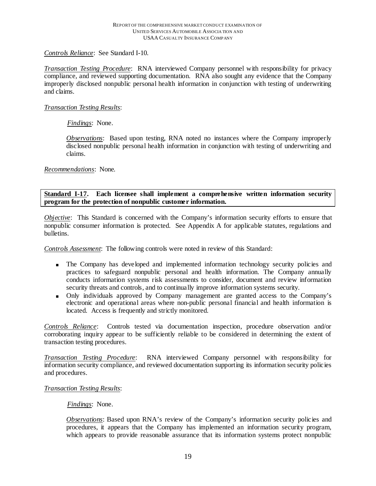### *Controls Reliance*: See Standard I-10.

*Transaction Testing Procedure*: RNA interviewed Company personnel with responsibility for privacy compliance, and reviewed supporting documentation. RNA also sought any evidence that the Company improperly disclosed nonpublic personal health information in conjunction with testing of underwriting and claims.

## *Transaction Testing Results*:

## *Findings*:None.

*Observations*:Based upon testing, RNA noted no instances where the Company improperly disclosed nonpublic personal health information in conjunction with testing of underwriting and claims.

*Recommendations*: None.

**Standard I-17. Each licensee shall implement a comprehensive written information security program for the protection of nonpublic customer information.**

*Objective*: This Standard is concerned with the Company's information security efforts to ensure that nonpublic consumer information is protected. See Appendix A for applicable statutes, regulations and bulletins.

*Controls Assessment*: The following controls were noted in review of this Standard:

- The Company has developed and implemented information technology security policies and practices to safeguard nonpublic personal and health information. The Company annually conducts information systems risk assessments to consider, document and review information security threats and controls, and to continually improve information systems security.
- Only individuals approved by Company management are granted access to the Company's electronic and operational areas where non-public personal financial and health information is located. Access is frequently and strictly monitored.

*Controls Reliance*: Controls tested via documentation inspection, procedure observation and/or corroborating inquiry appear to be sufficiently reliable to be considered in determining the extent of transaction testing procedures.

*Transaction Testing Procedure*: RNA interviewed Company personnel with responsibility for information security compliance, and reviewed documentation supporting its information security policies and procedures.

#### *Transaction Testing Results*:

#### *Findings*:None.

*Observations*: Based upon RNA's review of the Company's information security policies and procedures, it appears that the Company has implemented an information security program, which appears to provide reasonable assurance that its information systems protect nonpublic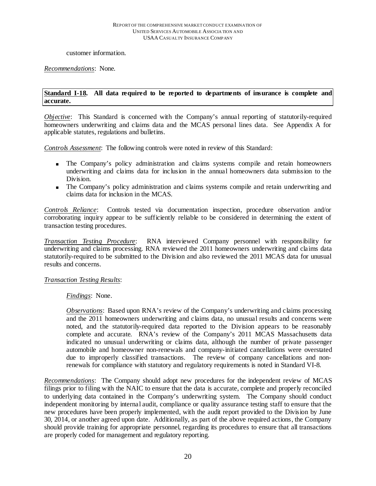customer information.

#### *Recommendations*: None.

#### **Standard I-18. All data required to be reported to departments of insurance is complete and accurate.**

*Objective*: This Standard is concerned with the Company's annual reporting of statutorily-required homeowners underwriting and claims data and the MCAS personal lines data. See Appendix A for applicable statutes, regulations and bulletins.

*Controls Assessment*: The following controls were noted in review of this Standard:

- The Company's policy administration and claims systems compile and retain homeowners underwriting and claims data for inclusion in the annual homeowners data submission to the Division.
- The Company's policy administration and claims systems compile and retain underwriting and claims data for inclusion in the MCAS.

*Controls Reliance*: Controls tested via documentation inspection, procedure observation and/or corroborating inquiry appear to be sufficiently reliable to be considered in determining the extent of transaction testing procedures.

*Transaction Testing Procedure*: RNA interviewed Company personnel with responsibility for underwriting and claims processing. RNA reviewed the 2011 homeowners underwriting and claims data statutorily-required to be submitted to the Division and also reviewed the 2011 MCAS data for unusual results and concerns.

#### *Transaction Testing Results*:

#### *Findings*:None.

*Observations*: Based upon RNA's review of the Company's underwriting and claims processing and the 2011 homeowners underwriting and claims data, no unusual results and concerns were noted, and the statutorily-required data reported to the Division appears to be reasonably complete and accurate. RNA's review of the Company's 2011 MCAS Massachusetts data indicated no unusual underwriting or claims data, although the number of private passenger automobile and homeowner non-renewals and company-initiated cancellations were overstated due to improperly classified transactions. The review of company cancellations and nonrenewals for compliance with statutory and regulatory requirements is noted in Standard VI-8.

*Recommendations*: The Company should adopt new procedures for the independent review of MCAS filings prior to filing with the NAIC to ensure that the data is accurate, complete and properly reconciled to underlying data contained in the Company's underwriting system. The Company should conduct independent monitoring by internal audit, compliance or quality assurance testing staff to ensure that the new procedures have been properly implemented, with the audit report provided to the Division by June 30, 2014, or another agreed upon date. Additionally, as part of the above required actions, the Company should provide training for appropriate personnel, regarding its procedures to ensure that all transactions are properly coded for management and regulatory reporting.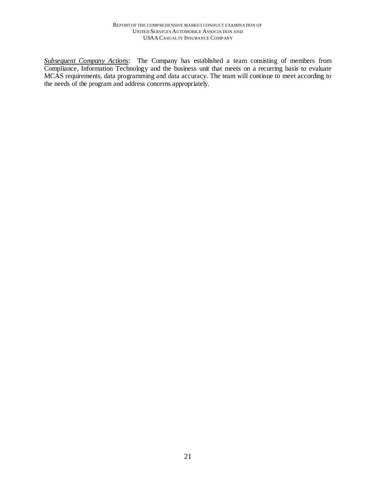*Subsequent Company Actions*: The Company has established a team consisting of members from Compliance, Information Technology and the business unit that meets on a recurring basis to evaluate MCAS requirements, data programming and data accuracy. The team will continue to meet according to the needs of the program and address concerns appropriately.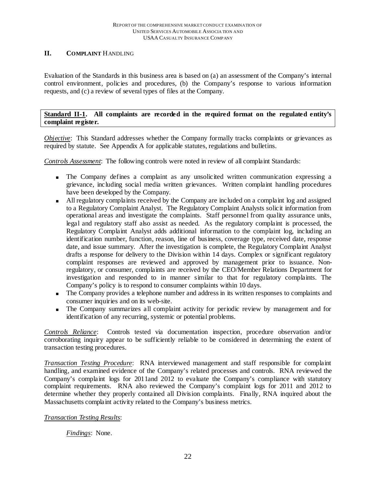## **II. COMPLAINT** HANDLING

Evaluation of the Standards in this business area is based on (a) an assessment of the Company's internal control environment, policies and procedures, (b) the Company's response to various information requests, and (c) a review of several types of files at the Company.

## **Standard II-1. All complaints are recorded in the required format on the regulated entity's complaint register.**

*Objective*: This Standard addresses whether the Company formally tracks complaints or grievances as required by statute. See Appendix A for applicable statutes, regulations and bulletins.

*Controls Assessment*: The following controls were noted in review of all complaint Standards:

- The Company defines a complaint as any unsolicited written communication expressing a grievance, including social media written grievances. Written complaint handling procedures have been developed by the Company.
- All regulatory complaints received by the Company are included on a complaint log and assigned to a Regulatory Complaint Analyst. The Regulatory Complaint Analysts solicit information from operational areas and investigate the complaints. Staff personnel from quality assurance units, legal and regulatory staff also assist as needed. As the regulatory complaint is processed, the Regulatory Complaint Analyst adds additional information to the complaint log, including an identification number, function, reason, line of business, coverage type, received date, response date, and issue summary. After the investigation is complete, the Regulatory Complaint Analyst drafts a response for delivery to the Division within 14 days. Complex or significant regulatory complaint responses are reviewed and approved by management prior to issuance. Nonregulatory, or consumer, complaints are received by the CEO/Member Relations Department for investigation and responded to in manner similar to that for regulatory complaints. The Company's policy is to respond to consumer complaints within 10 days.
- The Company provides a telephone number and address in its written responses to complaints and consumer inquiries and on its web-site.
- The Company summarizes all complaint activity for periodic review by management and for identification of any recurring, systemic or potential problems.

*Controls Reliance*: Controls tested via documentation inspection, procedure observation and/or corroborating inquiry appear to be sufficiently reliable to be considered in determining the extent of transaction testing procedures.

*Transaction Testing Procedure*: RNA interviewed management and staff responsible for complaint handling, and examined evidence of the Company's related processes and controls. RNA reviewed the Company's complaint logs for 2011and 2012 to evaluate the Company's compliance with statutory complaint requirements. RNA also reviewed the Company's complaint logs for 2011 and 2012 to determine whether they properly contained all Division complaints. Finally, RNA inquired about the Massachusetts complaint activity related to the Company's business metrics.

#### *Transaction Testing Results*:

*Findings*:None.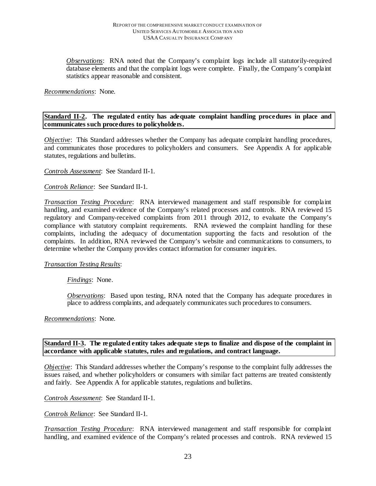*Observations*: RNA noted that the Company's complaint logs include all statutorily-required database elements and that the complaint logs were complete. Finally, the Company's complaint statistics appear reasonable and consistent.

#### *Recommendations*: None.

#### **Standard II-2. The regulated entity has adequate complaint handling procedures in place and communicates such procedures to policyholders.**

*Objective*: This Standard addresses whether the Company has adequate complaint handling procedures, and communicates those procedures to policyholders and consumers. See Appendix A for applicable statutes, regulations and bulletins.

*Controls Assessment*: See Standard II-1.

#### *Controls Reliance*: See Standard II-1.

*Transaction Testing Procedure*: RNA interviewed management and staff responsible for complaint handling, and examined evidence of the Company's related processes and controls. RNA reviewed 15 regulatory and Company-received complaints from 2011 through 2012, to evaluate the Company's compliance with statutory complaint requirements. RNA reviewed the complaint handling for these complaints, including the adequacy of documentation supporting the facts and resolution of the complaints. In addition, RNA reviewed the Company's website and communications to consumers, to determine whether the Company provides contact information for consumer inquiries.

#### *Transaction Testing Results*:

#### *Findings*:None.

*Observations*: Based upon testing, RNA noted that the Company has adequate procedures in place to address complaints, and adequately communicates such procedures to consumers.

*Recommendations*: None.

#### **Standard II-3. The regulated entity takes adequate steps to finalize and dispose of the complaint in accordance with applicable statutes, rules and regulations, and contract language.**

*Objective*: This Standard addresses whether the Company's response to the complaint fully addresses the issues raised, and whether policyholders or consumers with similar fact patterns are treated consistently and fairly. See Appendix A for applicable statutes, regulations and bulletins.

*Controls Assessment*: See Standard II-1.

*Controls Reliance*: See Standard II-1.

*Transaction Testing Procedure*: RNA interviewed management and staff responsible for complaint handling, and examined evidence of the Company's related processes and controls. RNA reviewed 15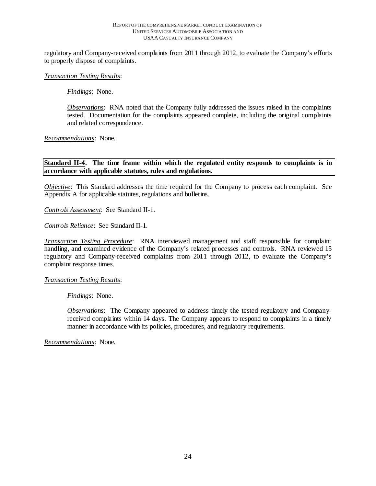regulatory and Company-received complaints from 2011 through 2012, to evaluate the Company's efforts to properly dispose of complaints.

#### *Transaction Testing Results*:

*Findings*:None.

*Observations*:RNA noted that the Company fully addressed the issues raised in the complaints tested. Documentation for the complaints appeared complete, including the original complaints and related correspondence.

*Recommendations*: None.

**Standard II-4. The time frame within which the regulated entity responds to complaints is in accordance with applicable statutes, rules and regulations.** 

*Objective*: This Standard addresses the time required for the Company to process each complaint. See Appendix A for applicable statutes, regulations and bulletins.

*Controls Assessment*: See Standard II-1.

*Controls Reliance*: See Standard II-1.

*Transaction Testing Procedure*: RNA interviewed management and staff responsible for complaint handling, and examined evidence of the Company's related processes and controls. RNA reviewed 15 regulatory and Company-received complaints from 2011 through 2012, to evaluate the Company's complaint response times.

*Transaction Testing Results*:

*Findings*:None.

*Observations*:The Company appeared to address timely the tested regulatory and Companyreceived complaints within 14 days. The Company appears to respond to complaints in a timely manner in accordance with its policies, procedures, and regulatory requirements.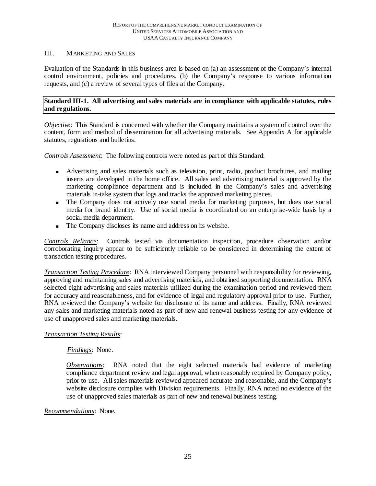## III. MARKETING AND SALES

Evaluation of the Standards in this business area is based on (a) an assessment of the Company's internal control environment, policies and procedures, (b) the Company's response to various information requests, and (c) a review of several types of files at the Company.

## **Standard III-1. All advertising and sales materials are in compliance with applicable statutes, rules and regulations.**

*Objective*: This Standard is concerned with whether the Company maintains a system of control over the content, form and method of dissemination for all advertising materials. See Appendix A for applicable statutes, regulations and bulletins.

*Controls Assessment*: The following controls were noted as part of this Standard:

- Advertising and sales materials such as television, print, radio, product brochures, and mailing inserts are developed in the home office. All sales and advertising material is approved by the marketing compliance department and is included in the Company's sales and advertising materials in-take system that logs and tracks the approved marketing pieces.
- The Company does not actively use social media for marketing purposes, but does use social media for brand identity. Use of social media is coordinated on an enterprise-wide basis by a social media department.
- The Company discloses its name and address on its website.

*Controls Reliance*: Controls tested via documentation inspection, procedure observation and/or corroborating inquiry appear to be sufficiently reliable to be considered in determining the extent of transaction testing procedures.

*Transaction Testing Procedure*: RNA interviewed Company personnel with responsibility for reviewing, approving and maintaining sales and advertising materials, and obtained supporting documentation. RNA selected eight advertising and sales materials utilized during the examination period and reviewed them for accuracy and reasonableness, and for evidence of legal and regulatory approval prior to use. Further, RNA reviewed the Company's website for disclosure of its name and address. Finally, RNA reviewed any sales and marketing materials noted as part of new and renewal business testing for any evidence of use of unapproved sales and marketing materials.

## *Transaction Testing Results*:

#### *Findings*:None.

*Observations*:RNA noted that the eight selected materials had evidence of marketing compliance department review and legal approval, when reasonably required by Company policy, prior to use. All sales materials reviewed appeared accurate and reasonable, and the Company's website disclosure complies with Division requirements. Finally, RNA noted no evidence of the use of unapproved sales materials as part of new and renewal business testing.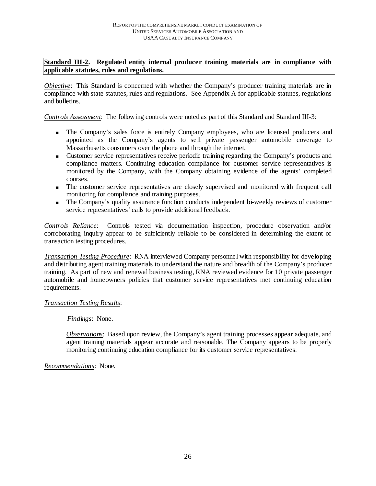## **Standard III-2. Regulated entity internal producer training materials are in compliance with applicable statutes, rules and regulations.**

*Objective*: This Standard is concerned with whether the Company's producer training materials are in compliance with state statutes, rules and regulations. See Appendix A for applicable statutes, regulations and bulletins.

*Controls Assessment*: The following controls were noted as part of this Standard and Standard III-3:

- The Company's sales force is entirely Company employees, who are licensed producers and appointed as the Company's agents to sell private passenger automobile coverage to Massachusetts consumers over the phone and through the internet.
- Customer service representatives receive periodic training regarding the Company's products and compliance matters. Continuing education compliance for customer service representatives is monitored by the Company, with the Company obtaining evidence of the agents' completed courses.
- The customer service representatives are closely supervised and monitored with frequent call monitoring for compliance and training purposes.
- The Company's quality assurance function conducts independent bi-weekly reviews of customer service representatives' calls to provide additional feedback.

*Controls Reliance*: Controls tested via documentation inspection, procedure observation and/or corroborating inquiry appear to be sufficiently reliable to be considered in determining the extent of transaction testing procedures.

*Transaction Testing Procedure*: RNA interviewed Company personnel with responsibility for developing and distributing agent training materials to understand the nature and breadth of the Company's producer training. As part of new and renewal business testing, RNA reviewed evidence for 10 private passenger automobile and homeowners policies that customer service representatives met continuing education requirements.

#### *Transaction Testing Results*:

#### *Findings*:None.

*Observations*:Based upon review, the Company's agent training processes appear adequate, and agent training materials appear accurate and reasonable. The Company appears to be properly monitoring continuing education compliance for its customer service representatives.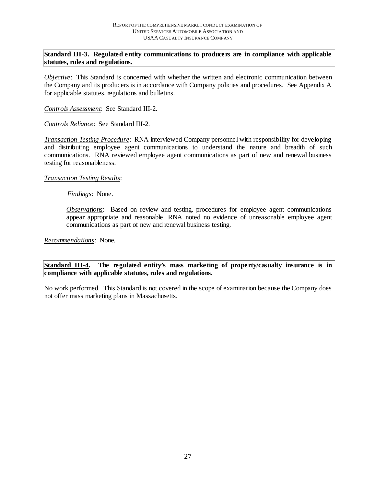## **Standard III-3. Regulated entity communications to producers are in compliance with applicable statutes, rules and regulations.**

*Objective*: This Standard is concerned with whether the written and electronic communication between the Company and its producers is in accordance with Company policies and procedures. See Appendix A for applicable statutes, regulations and bulletins.

*Controls Assessment*: See Standard III-2.

*Controls Reliance*: See Standard III-2.

*Transaction Testing Procedure*: RNA interviewed Company personnel with responsibility for developing and distributing employee agent communications to understand the nature and breadth of such communications. RNA reviewed employee agent communications as part of new and renewal business testing for reasonableness.

#### *Transaction Testing Results*:

#### *Findings*:None.

*Observations*: Based on review and testing, procedures for employee agent communications appear appropriate and reasonable. RNA noted no evidence of unreasonable employee agent communications as part of new and renewal business testing.

*Recommendations*: None.

**Standard III-4. The regulated entity's mass marketing of property/casualty insurance is in compliance with applicable statutes, rules and regulations.**

No work performed. This Standard is not covered in the scope of examination because the Company does not offer mass marketing plans in Massachusetts.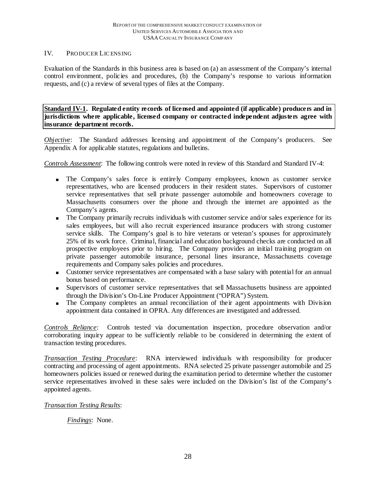#### IV. PRODUCER LIC ENSING

Evaluation of the Standards in this business area is based on (a) an assessment of the Company's internal control environment, policies and procedures, (b) the Company's response to various information requests, and (c) a review of several types of files at the Company.

**Standard IV-1. Regulated entity records of licensed and appointed (if applicable) producers and in jurisdictions where applicable, licensed company or contracted independent adjusters agree with insurance department records.**

*Objective*: The Standard addresses licensing and appointment of the Company's producers. See Appendix A for applicable statutes, regulations and bulletins.

*Controls Assessment*: The following controls were noted in review of this Standard and Standard IV-4:

- The Company's sales force is entirely Company employees, known as customer service representatives, who are licensed producers in their resident states. Supervisors of customer service representatives that sell private passenger automobile and homeowners coverage to Massachusetts consumers over the phone and through the internet are appointed as the Company's agents.
- The Company primarily recruits individuals with customer service and/or sales experience for its sales employees, but will also recruit experienced insurance producers with strong customer service skills. The Company's goal is to hire veterans or veteran's spouses for approximately 25% of its work force. Criminal, financial and education background checks are conducted on all prospective employees prior to hiring. The Company provides an initial training program on private passenger automobile insurance, personal lines insurance, Massachusetts coverage requirements and Company sales policies and procedures.
- Customer service representatives are compensated with a base salary with potential for an annual bonus based on performance.
- Supervisors of customer service representatives that sell Massachusetts business are appointed through the Division's On-Line Producer Appointment ("OPRA") System.
- The Company completes an annual reconciliation of their agent appointments with Division appointment data contained in OPRA. Any differences are investigated and addressed.

*Controls Reliance*: Controls tested via documentation inspection, procedure observation and/or corroborating inquiry appear to be sufficiently reliable to be considered in determining the extent of transaction testing procedures.

*Transaction Testing Procedure*: RNA interviewed individuals with responsibility for producer contracting and processing of agent appointments. RNA selected 25 private passenger automobile and 25 homeowners policies issued or renewed during the examination period to determine whether the customer service representatives involved in these sales were included on the Division's list of the Company's appointed agents.

## *Transaction Testing Results*:

*Findings*: None.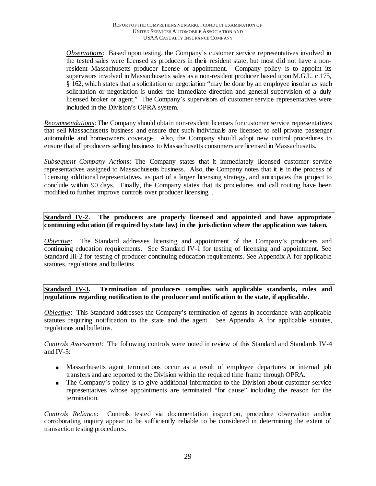*Observations*: Based upon testing, the Company's customer service representatives involved in the tested sales were licensed as producers in their resident state, but most did not have a nonresident Massachusetts producer license or appointment. Company policy is to appoint its supervisors involved in Massachusetts sales as a non-resident producer based upon M.G.L. c.175, § 162, which states that a solicitation or negotiation "may be done by an employee insofar as such solicitation or negotiation is under the immediate direction and general supervision of a duly licensed broker or agent." The Company's supervisors of customer service representatives were included in the Division's OPRA system.

*Recommendations*: The Company should obtain non-resident licenses for customer service representatives that sell Massachusetts business and ensure that such individuals are licensed to sell private passenger automobile and homeowners coverage. Also, the Company should adopt new control procedures to ensure that all producers selling business to Massachusetts consumers are licensed in Massachusetts.

*Subsequent Company Actions*: The Company states that it immediately licensed customer service representatives assigned to Massachusetts business. Also, the Company notes that it is in the process of licensing additional representatives, as part of a larger licensing strategy, and anticipates this project to conclude within 90 days. Finally, the Company states that its procedures and call routing have been modified to further improve controls over producer licensing. .

**Standard IV-2. The producers are properly licensed and appointed and have appropriate continuing education (if required by state law) in the jurisdiction where the application was taken.** 

*Objective*: The Standard addresses licensing and appointment of the Company's producers and continuing education requirements. See Standard IV-1 for testing of licensing and appointment. See Standard III-2 for testing of producer continuing education requirements. See Appendix A for applicable statutes, regulations and bulletins.

**Standard IV-3. Termination of producers complies with applicable standards, rules and regulations regarding notification to the producer and notification to the state, if applicable.** 

*Objective*: This Standard addresses the Company's termination of agents in accordance with applicable statutes requiring notification to the state and the agent. See Appendix A for applicable statutes, regulations and bulletins.

*Controls Assessment*: The following controls were noted in review of this Standard and Standards IV-4 and IV-5:

- Massachusetts agent terminations occur as a result of employee departures or internal job transfers and are reported to the Division within the required time frame through OPRA.
- The Company's policy is to give additional information to the Division about customer service representatives whose appointments are terminated "for cause" including the reason for the termination.

*Controls Reliance*: Controls tested via documentation inspection, procedure observation and/or corroborating inquiry appear to be sufficiently reliable to be considered in determining the extent of transaction testing procedures.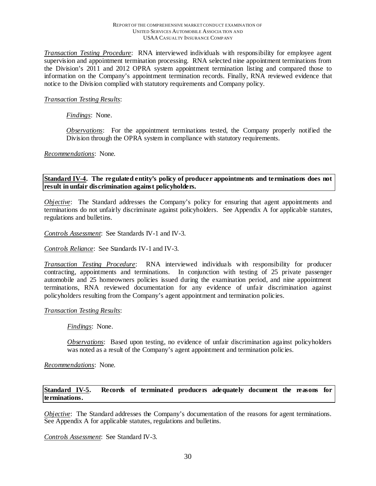#### REPORT OF THE COMPREHENSIVE MARKET CONDUCT EXAMINATION OF UNITED SERVICES AUTOMOBILE ASSOCIA TION AND USAA CASUALTY INSURANCE COMPANY

*Transaction Testing Procedure*: RNA interviewed individuals with responsibility for employee agent supervision and appointment termination processing. RNA selected nine appointment terminations from the Division's 2011 and 2012 OPRA system appointment termination listing and compared those to information on the Company's appointment termination records. Finally, RNA reviewed evidence that notice to the Division complied with statutory requirements and Company policy.

## *Transaction Testing Results*:

## *Findings*: None.

*Observations*: For the appointment terminations tested, the Company properly notified the Division through the OPRA system in compliance with statutory requirements.

#### *Recommendations*: None.

**Standard IV-4. The regulated entity's policy of producer appointments and terminations does not result in unfair discrimination against policyholders.**

*Objective*: The Standard addresses the Company's policy for ensuring that agent appointments and terminations do not unfairly discriminate against policyholders. See Appendix A for applicable statutes, regulations and bulletins.

*Controls Assessment*: See Standards IV-1 and IV-3.

#### *Controls Reliance*: See Standards IV-1 and IV-3.

*Transaction Testing Procedure*: RNA interviewed individuals with responsibility for producer contracting, appointments and terminations. In conjunction with testing of 25 private passenger automobile and 25 homeowners policies issued during the examination period, and nine appointment terminations, RNA reviewed documentation for any evidence of unfair discrimination against policyholders resulting from the Company's agent appointment and termination policies.

#### *Transaction Testing Results*:

*Findings*:None.

*Observations*: Based upon testing, no evidence of unfair discrimination against policyholders was noted as a result of the Company's agent appointment and termination policies.

*Recommendations*: None.

## **Standard IV-5. Records of terminated producers adequately document the reasons for terminations.**

*Objective*: The Standard addresses the Company's documentation of the reasons for agent terminations. See Appendix A for applicable statutes, regulations and bulletins.

*Controls Assessment*: See Standard IV-3.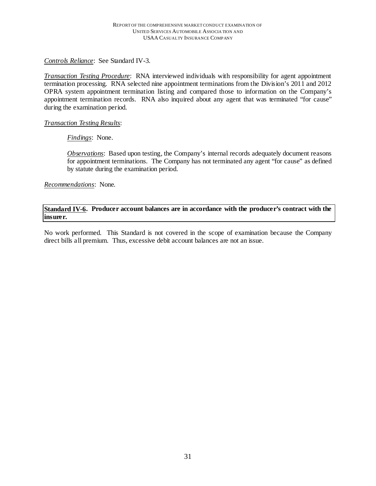*Controls Reliance*: See Standard IV-3.

*Transaction Testing Procedure*: RNA interviewed individuals with responsibility for agent appointment termination processing. RNA selected nine appointment terminations from the Division's 2011 and 2012 OPRA system appointment termination listing and compared those to information on the Company's appointment termination records. RNA also inquired about any agent that was terminated "for cause" during the examination period.

## *Transaction Testing Results*:

*Findings*:None.

*Observations*: Based upon testing, the Company's internal records adequately document reasons for appointment terminations. The Company has not terminated any agent "for cause" as defined by statute during the examination period.

*Recommendations*: None.

**Standard IV-6. Producer account balances are in accordance with the producer's contract with the insurer.**

No work performed. This Standard is not covered in the scope of examination because the Company direct bills all premium. Thus, excessive debit account balances are not an issue.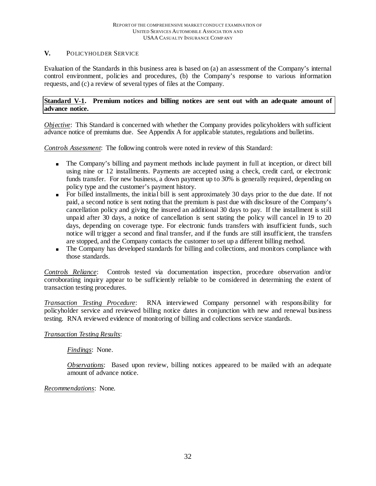## **V.** POLICYHOLDER SERVICE

Evaluation of the Standards in this business area is based on (a) an assessment of the Company's internal control environment, policies and procedures, (b) the Company's response to various information requests, and (c) a review of several types of files at the Company.

## **Standard V-1. Premium notices and billing notices are sent out with an adequate amount of advance notice.**

*Objective*: This Standard is concerned with whether the Company provides policyholders with sufficient advance notice of premiums due. See Appendix A for applicable statutes, regulations and bulletins.

*Controls Assessment*: The following controls were noted in review of this Standard:

- The Company's billing and payment methods include payment in full at inception, or direct bill using nine or 12 installments. Payments are accepted using a check, credit card, or electronic funds transfer. For new business, a down payment up to 30% is generally required, depending on policy type and the customer's payment history.
- For billed installments, the initial bill is sent approximately 30 days prior to the due date. If not paid, a second notice is sent noting that the premium is past due with disclosure of the Company's cancellation policy and giving the insured an additional 30 days to pay. If the installment is still unpaid after 30 days, a notice of cancellation is sent stating the policy will cancel in 19 to 20 days, depending on coverage type. For electronic funds transfers with insufficient funds, such notice will trigger a second and final transfer, and if the funds are still insufficient, the transfers are stopped, and the Company contacts the customer to set up a different billing method.
- The Company has developed standards for billing and collections, and monitors compliance with those standards.

*Controls Reliance*: Controls tested via documentation inspection, procedure observation and/or corroborating inquiry appear to be sufficiently reliable to be considered in determining the extent of transaction testing procedures.

*Transaction Testing Procedure*: RNA interviewed Company personnel with responsibility for policyholder service and reviewed billing notice dates in conjunction with new and renewal business testing. RNA reviewed evidence of monitoring of billing and collections service standards.

## *Transaction Testing Results*:

## *Findings*: None.

*Observations*: Based upon review, billing notices appeared to be mailed with an adequate amount of advance notice.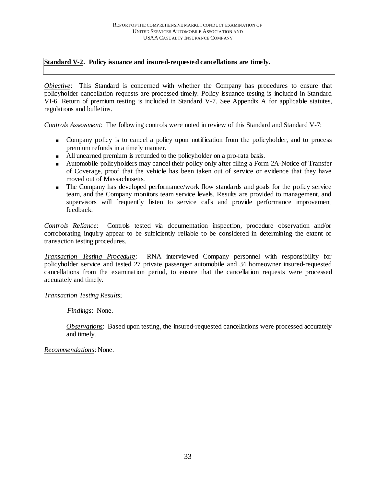## **Standard V-2. Policy issuance and insured-requested cancellations are timely.**

*Objective*: This Standard is concerned with whether the Company has procedures to ensure that policyholder cancellation requests are processed timely. Policy issuance testing is included in Standard VI-6. Return of premium testing is included in Standard V-7. See Appendix A for applicable statutes, regulations and bulletins.

*Controls Assessment*: The following controls were noted in review of this Standard and Standard V-7:

- Company policy is to cancel a policy upon notification from the policyholder, and to process premium refunds in a timely manner.
- All unearned premium is refunded to the policyholder on a pro-rata basis.
- Automobile policyholders may cancel their policy only after filing a Form 2A-Notice of Transfer of Coverage, proof that the vehicle has been taken out of service or evidence that they have moved out of Massachusetts.
- The Company has developed performance/work flow standards and goals for the policy service team, and the Company monitors team service levels. Results are provided to management, and supervisors will frequently listen to service calls and provide performance improvement feedback.

*Controls Reliance*: Controls tested via documentation inspection, procedure observation and/or corroborating inquiry appear to be sufficiently reliable to be considered in determining the extent of transaction testing procedures.

*Transaction Testing Procedure*: RNA interviewed Company personnel with responsibility for policyholder service and tested 27 private passenger automobile and 34 homeowner insured-requested cancellations from the examination period, to ensure that the cancellation requests were processed accurately and timely.

#### *Transaction Testing Results*:

*Findings*:None.

*Observations*: Based upon testing, the insured-requested cancellations were processed accurately and timely.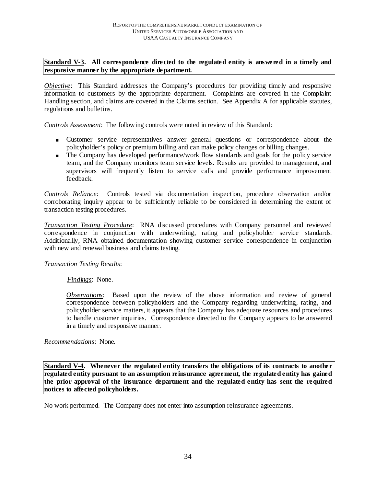## **Standard V-3. All correspondence directed to the regulated entity is answered in a timely and responsive manner by the appropriate department.**

*Objective*: This Standard addresses the Company's procedures for providing timely and responsive information to customers by the appropriate department. Complaints are covered in the Complaint Handling section, and claims are covered in the Claims section. See Appendix A for applicable statutes, regulations and bulletins.

*Controls Assessment*: The following controls were noted in review of this Standard:

- Customer service representatives answer general questions or correspondence about the policyholder's policy or premium billing and can make policy changes or billing changes.
- The Company has developed performance/work flow standards and goals for the policy service team, and the Company monitors team service levels. Results are provided to management, and supervisors will frequently listen to service calls and provide performance improvement feedback.

*Controls Reliance*: Controls tested via documentation inspection, procedure observation and/or corroborating inquiry appear to be sufficiently reliable to be considered in determining the extent of transaction testing procedures.

*Transaction Testing Procedure*: RNA discussed procedures with Company personnel and reviewed correspondence in conjunction with underwriting, rating and policyholder service standards. Additionally, RNA obtained documentation showing customer service correspondence in conjunction with new and renewal business and claims testing.

#### *Transaction Testing Results*:

*Findings*:None.

*Observations*:Based upon the review of the above information and review of general correspondence between policyholders and the Company regarding underwriting, rating, and policyholder service matters, it appears that the Company has adequate resources and procedures to handle customer inquiries. Correspondence directed to the Company appears to be answered in a timely and responsive manner.

#### *Recommendations*: None.

**Standard V-4. Whenever the regulated entity transfers the obligations of its contracts to another regulated entity pursuant to an assumption reinsurance agreement, the regulated entity has gained the prior approval of the insurance department and the regulated entity has sent the required notices to affected policyholders.** 

No work performed. The Company does not enter into assumption reinsurance agreements.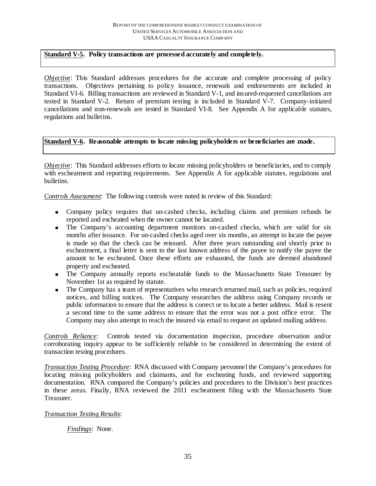#### **Standard V-5. Policy transactions are processed accurately and completely.**

*Objective*: This Standard addresses procedures for the accurate and complete processing of policy transactions. Objectives pertaining to policy issuance, renewals and endorsements are included in Standard VI-6. Billing transactions are reviewed in Standard V-1, and insured-requested cancellations are tested in Standard V-2. Return of premium testing is included in Standard V-7. Company-initiated cancellations and non-renewals are tested in Standard VI-8. See Appendix A for applicable statutes, regulations and bulletins.

## **Standard V-6. Reasonable attempts to locate missing policyholders or beneficiaries are made.**

*Objective*: This Standard addresses efforts to locate missing policyholders or beneficiaries, and to comply with escheatment and reporting requirements. See Appendix A for applicable statutes, regulations and bulletins.

*Controls Assessment*: The following controls were noted in review of this Standard:

- Company policy requires that un-cashed checks, including claims and premium refunds be reported and escheated when the owner cannot be located.
- The Company's accounting department monitors un-cashed checks, which are valid for six months after issuance. For un-cashed checks aged over six months, an attempt to locate the payee is made so that the check can be reissued. After three years outstanding and shortly prior to escheatment, a final letter is sent to the last known address of the payee to notify the payee the amount to be escheated. Once these efforts are exhausted, the funds are deemed abandoned property and escheated.
- **The Company annually reports escheatable funds to the Massachusetts State Treasurer by** November 1st as required by statute.
- The Company has a team of representatives who research returned mail, such as policies, required notices, and billing notices. The Company researches the address using Company records or public information to ensure that the address is correct or to locate a better address. Mail is resent a second time to the same address to ensure that the error was not a post office error. The Company may also attempt to reach the insured via email to request an updated mailing address.

*Controls Reliance*: Controls tested via documentation inspection, procedure observation and/or corroborating inquiry appear to be sufficiently reliable to be considered in determining the extent of transaction testing procedures.

*Transaction Testing Procedure*: RNA discussed with Company personnel the Company's procedures for locating missing policyholders and claimants, and for escheating funds, and reviewed supporting documentation. RNA compared the Company's policies and procedures to the Division's best practices in these areas. Finally, RNA reviewed the 2011 escheatment filing with the Massachusetts State Treasurer.

## *Transaction Testing Results*:

#### *Findings*: None.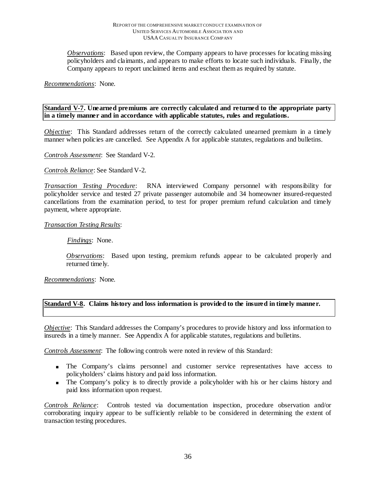*Observations*: Based upon review, the Company appears to have processes for locating missing policyholders and claimants, and appears to make efforts to locate such individuals. Finally, the Company appears to report unclaimed items and escheat them as required by statute.

*Recommendations*: None.

**Standard V-7. Unearned premiums are correctly calculated and returned to the appropriate party in a timely manner and in accordance with applicable statutes, rules and regulations.**

*Objective*: This Standard addresses return of the correctly calculated unearned premium in a timely manner when policies are cancelled. See Appendix A for applicable statutes, regulations and bulletins.

*Controls Assessment*: See Standard V-2.

*Controls Reliance*: See Standard V-2.

*Transaction Testing Procedure*: RNA interviewed Company personnel with responsibility for policyholder service and tested 27 private passenger automobile and 34 homeowner insured-requested cancellations from the examination period, to test for proper premium refund calculation and timely payment, where appropriate*.*

#### *Transaction Testing Results*:

*Findings*:None.

*Observations*:Based upon testing, premium refunds appear to be calculated properly and returned timely.

*Recommendations*: None.

#### **Standard V-8. Claims history and loss information is provided to the insured in timely manner.**

*Objective*: This Standard addresses the Company's procedures to provide history and loss information to insureds in a timely manner. See Appendix A for applicable statutes, regulations and bulletins.

*Controls Assessment*: The following controls were noted in review of this Standard:

- The Company's claims personnel and customer service representatives have access to policyholders' claims history and paid loss information.
- The Company's policy is to directly provide a policyholder with his or her claims history and paid loss information upon request.

*Controls Reliance*: Controls tested via documentation inspection, procedure observation and/or corroborating inquiry appear to be sufficiently reliable to be considered in determining the extent of transaction testing procedures.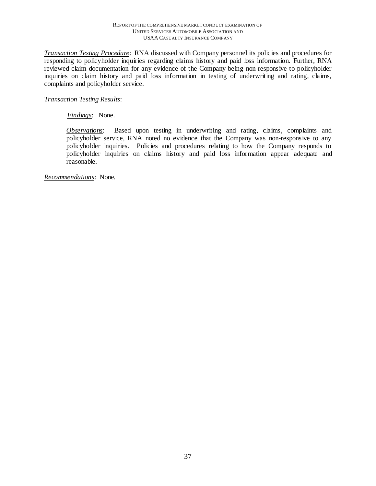#### REPORT OF THE COMPREHENSIVE MARKET CONDUCT EXAMINATION OF UNITED SERVICES AUTOMOBILE ASSOCIA TION AND USAA CASUALTY INSURANCE COMPANY

*Transaction Testing Procedure*: RNA discussed with Company personnel its policies and procedures for responding to policyholder inquiries regarding claims history and paid loss information. Further, RNA reviewed claim documentation for any evidence of the Company being non-responsive to policyholder inquiries on claim history and paid loss information in testing of underwriting and rating, claims, complaints and policyholder service.

## *Transaction Testing Results*:

*Findings*: None.

*Observations*: Based upon testing in underwriting and rating, claims, complaints and policyholder service, RNA noted no evidence that the Company was non-responsive to any policyholder inquiries. Policies and procedures relating to how the Company responds to policyholder inquiries on claims history and paid loss information appear adequate and reasonable.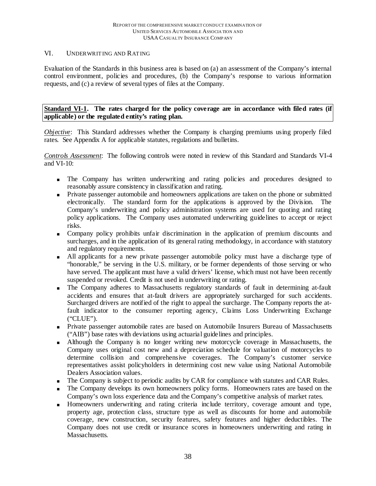#### VI. UNDERWRIT ING AND RAT ING

Evaluation of the Standards in this business area is based on (a) an assessment of the Company's internal control environment, policies and procedures, (b) the Company's response to various information requests, and (c) a review of several types of files at the Company.

**Standard VI-1. The rates charged for the policy coverage are in accordance with filed rates (if applicable) or the regulated entity's rating plan.** 

*Objective*: This Standard addresses whether the Company is charging premiums using properly filed rates. See Appendix A for applicable statutes, regulations and bulletins.

*Controls Assessment*: The following controls were noted in review of this Standard and Standards VI-4 and VI-10:

- The Company has written underwriting and rating policies and procedures designed to reasonably assure consistency in classification and rating.
- Private passenger automobile and homeowners applications are taken on the phone or submitted electronically. The standard form for the applications is approved by the Division. The Company's underwriting and policy administration systems are used for quoting and rating policy applications. The Company uses automated underwriting guidelines to accept or reject risks.
- Company policy prohibits unfair discrimination in the application of premium discounts and surcharges, and in the application of its general rating methodology, in accordance with statutory and regulatory requirements.
- All applicants for a new private passenger automobile policy must have a discharge type of "honorable," be serving in the U.S. military, or be former dependents of those serving or who have served. The applicant must have a valid drivers' license, which must not have been recently suspended or revoked. Credit is not used in underwriting or rating.
- The Company adheres to Massachusetts regulatory standards of fault in determining at-fault accidents and ensures that at-fault drivers are appropriately surcharged for such accidents. Surcharged drivers are notified of the right to appeal the surcharge. The Company reports the atfault indicator to the consumer reporting agency, Claims Loss Underwriting Exchange ("CLUE").
- Private passenger automobile rates are based on Automobile Insurers Bureau of Massachusetts ("AIB") base rates with deviations using actuarial guidelines and principles.
- Although the Company is no longer writing new motorcycle coverage in Massachusetts, the Company uses original cost new and a depreciation schedule for valuation of motorcycles to determine collision and comprehensive coverages. The Company's customer service representatives assist policyholders in determining cost new value using National Automobile Dealers Association values.
- The Company is subject to periodic audits by CAR for compliance with statutes and CAR Rules.
- The Company develops its own homeowners policy forms. Homeowners rates are based on the Company's own loss experience data and the Company's competitive analysis of market rates.
- Homeowners underwriting and rating criteria include territory, coverage amount and type, property age, protection class, structure type as well as discounts for home and automobile coverage, new construction, security features, safety features and higher deductibles. The Company does not use credit or insurance scores in homeowners underwriting and rating in Massachusetts.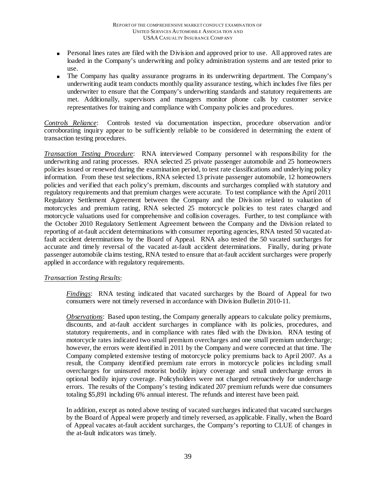- **Personal lines rates are filed with the Division and approved prior to use.** All approved rates are loaded in the Company's underwriting and policy administration systems and are tested prior to use.
- The Company has quality assurance programs in its underwriting department. The Company's underwriting audit team conducts monthly quality assurance testing, which includes five files per underwriter to ensure that the Company's underwriting standards and statutory requirements are met. Additionally, supervisors and managers monitor phone calls by customer service representatives for training and compliance with Company policies and procedures.

*Controls Reliance*: Controls tested via documentation inspection, procedure observation and/or corroborating inquiry appear to be sufficiently reliable to be considered in determining the extent of transaction testing procedures.

*Transaction Testing Procedure*: RNA interviewed Company personnel with responsibility for the underwriting and rating processes. RNA selected 25 private passenger automobile and 25 homeowners policies issued or renewed during the examination period, to test rate classifications and underlying policy information. From these test selections, RNA selected 13 private passenger automobile, 12 homeowners policies and verified that each policy's premium, discounts and surcharges complied with statutory and regulatory requirements and that premium charges were accurate. To test compliance with the April 2011 Regulatory Settlement Agreement between the Company and the Division related to valuation of motorcycles and premium rating, RNA selected 25 motorcycle policies to test rates charged and motorcycle valuations used for comprehensive and collision coverages. Further, to test compliance with the October 2010 Regulatory Settlement Agreement between the Company and the Division related to reporting of at-fault accident determinations with consumer reporting agencies, RNA tested 50 vacated atfault accident determinations by the Board of Appeal. RNA also tested the 50 vacated surcharges for accurate and timely reversal of the vacated at-fault accident determinations. Finally, during private passenger automobile claims testing, RNA tested to ensure that at-fault accident surcharges were properly applied in accordance with regulatory requirements.

#### *Transaction Testing Results*:

*Findings*:RNA testing indicated that vacated surcharges by the Board of Appeal for two consumers were not timely reversed in accordance with Division Bulletin 2010-11.

*Observations*: Based upon testing, the Company generally appears to calculate policy premiums, discounts, and at-fault accident surcharges in compliance with its policies, procedures, and statutory requirements, and in compliance with rates filed with the Division. RNA testing of motorcycle rates indicated two small premium overcharges and one small premium undercharge; however, the errors were identified in 2011 by the Company and were corrected at that time. The Company completed extensive testing of motorcycle policy premiums back to April 2007. As a result, the Company identified premium rate errors in motorcycle policies including small overcharges for uninsured motorist bodily injury coverage and small undercharge errors in optional bodily injury coverage. Policyholders were not charged retroactively for undercharge errors. The results of the Company's testing indicated 207 premium refunds were due consumers totaling \$5,891 including 6% annual interest. The refunds and interest have been paid.

In addition, except as noted above testing of vacated surcharges indicated that vacated surcharges by the Board of Appeal were properly and timely reversed, as applicable. Finally, when the Board of Appeal vacates at-fault accident surcharges, the Company's reporting to CLUE of changes in the at-fault indicators was timely.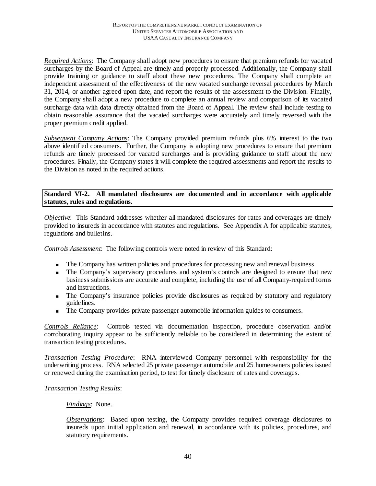*Required Actions*: The Company shall adopt new procedures to ensure that premium refunds for vacated surcharges by the Board of Appeal are timely and properly processed. Additionally, the Company shall provide training or guidance to staff about these new procedures. The Company shall complete an independent assessment of the effectiveness of the new vacated surcharge reversal procedures by March 31, 2014, or another agreed upon date, and report the results of the assessment to the Division. Finally, the Company shall adopt a new procedure to complete an annual review and comparison of its vacated surcharge data with data directly obtained from the Board of Appeal. The review shall include testing to obtain reasonable assurance that the vacated surcharges were accurately and timely reversed with the proper premium credit applied.

*Subsequent Company Actions*: The Company provided premium refunds plus 6% interest to the two above identified consumers. Further, the Company is adopting new procedures to ensure that premium refunds are timely processed for vacated surcharges and is providing guidance to staff about the new procedures. Finally, the Company states it will complete the required assessments and report the results to the Division as noted in the required actions.

## **Standard VI-2. All mandated disclosures are documented and in accordance with applicable statutes, rules and regulations.**

*Objective* : This Standard addresses whether all mandated disclosures for rates and coverages are timely provided to insureds in accordance with statutes and regulations. See Appendix A for applicable statutes, regulations and bulletins.

*Controls Assessment*: The following controls were noted in review of this Standard:

- The Company has written policies and procedures for processing new and renewal business.
- The Company's supervisory procedures and system's controls are designed to ensure that new business submissions are accurate and complete, including the use of all Company-required forms and instructions.
- The Company's insurance policies provide disclosures as required by statutory and regulatory guidelines.
- The Company provides private passenger automobile information guides to consumers.

*Controls Reliance*: Controls tested via documentation inspection, procedure observation and/or corroborating inquiry appear to be sufficiently reliable to be considered in determining the extent of transaction testing procedures.

*Transaction Testing Procedure*: RNA interviewed Company personnel with responsibility for the underwriting process. RNA selected 25 private passenger automobile and 25 homeowners policies issued or renewed during the examination period, to test for timely disclosure of rates and coverages.

#### *Transaction Testing Results*:

#### *Findings*: None.

*Observations*: Based upon testing, the Company provides required coverage disclosures to insureds upon initial application and renewal, in accordance with its policies, procedures, and statutory requirements.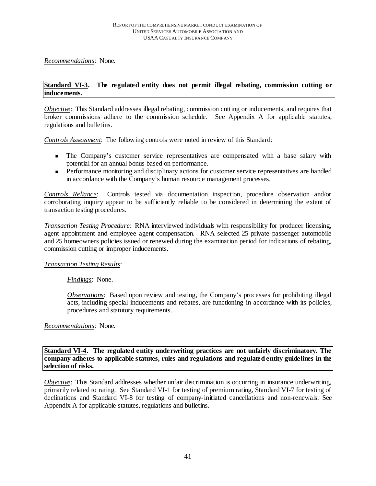*Recommendations*: None.

#### **Standard VI-3. The regulated entity does not permit illegal rebating, commission cutting or inducements.**

*Objective*: This Standard addresses illegal rebating, commission cutting or inducements, and requires that broker commissions adhere to the commission schedule. See Appendix A for applicable statutes, regulations and bulletins.

*Controls Assessment*: The following controls were noted in review of this Standard:

- The Company's customer service representatives are compensated with a base salary with potential for an annual bonus based on performance.
- **Performance monitoring and disciplinary actions for customer service representatives are handled** in accordance with the Company's human resource management processes.

*Controls Reliance*: Controls tested via documentation inspection, procedure observation and/or corroborating inquiry appear to be sufficiently reliable to be considered in determining the extent of transaction testing procedures.

*Transaction Testing Procedure*: RNA interviewed individuals with responsibility for producer licensing, agent appointment and employee agent compensation. RNA selected 25 private passenger automobile and 25 homeowners policies issued or renewed during the examination period for indications of rebating, commission cutting or improper inducements.

#### *Transaction Testing Results*:

*Findings*:None.

*Observations*: Based upon review and testing, the Company's processes for prohibiting illegal acts, including special inducements and rebates, are functioning in accordance with its policies, procedures and statutory requirements.

## *Recommendations*: None.

**Standard VI-4. The regulated entity underwriting practices are not unfairly discriminatory. The company adheres to applicable statutes, rules and regulations and regulated entity guidelines in the selection of risks.**

*Objective*: This Standard addresses whether unfair discrimination is occurring in insurance underwriting, primarily related to rating. See Standard VI-1 for testing of premium rating, Standard VI-7 for testing of declinations and Standard VI-8 for testing of company-initiated cancellations and non-renewals. See Appendix A for applicable statutes, regulations and bulletins.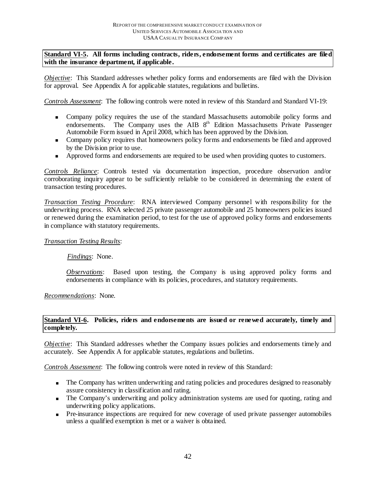## **Standard VI-5. All forms including contracts, riders, endorsement forms and certificates are filed with the insurance department, if applicable.**

*Objective*: This Standard addresses whether policy forms and endorsements are filed with the Division for approval. See Appendix A for applicable statutes, regulations and bulletins.

*Controls Assessment*: The following controls were noted in review of this Standard and Standard VI-19:

- Company policy requires the use of the standard Massachusetts automobile policy forms and endorsements. The Company uses the AIB 8<sup>th</sup> Edition Massachusetts Private Passenger Automobile Form issued in April 2008, which has been approved by the Division.
- **Company policy requires that homeowners policy forms and endorsements be filed and approved** by the Division prior to use.
- **Approved forms and endorsements are required to be used when providing quotes to customers.**

*Controls Reliance*: Controls tested via documentation inspection, procedure observation and/or corroborating inquiry appear to be sufficiently reliable to be considered in determining the extent of transaction testing procedures.

*Transaction Testing Procedure*: RNA interviewed Company personnel with responsibility for the underwriting process. RNA selected 25 private passenger automobile and 25 homeowners policies issued or renewed during the examination period, to test for the use of approved policy forms and endorsements in compliance with statutory requirements.

## *Transaction Testing Results*:

*Findings*:None.

*Observations*:Based upon testing, the Company is using approved policy forms and endorsements in compliance with its policies, procedures, and statutory requirements.

*Recommendations*: None.

#### **Standard VI-6. Policies, riders and endorsements are issued or renewed accurately, timely and completely.**

*Objective*: This Standard addresses whether the Company issues policies and endorsements timely and accurately. See Appendix A for applicable statutes, regulations and bulletins.

*Controls Assessment*: The following controls were noted in review of this Standard:

- The Company has written underwriting and rating policies and procedures designed to reasonably assure consistency in classification and rating.
- The Company's underwriting and policy administration systems are used for quoting, rating and underwriting policy applications.
- Pre-insurance inspections are required for new coverage of used private passenger automobiles unless a qualified exemption is met or a waiver is obtained.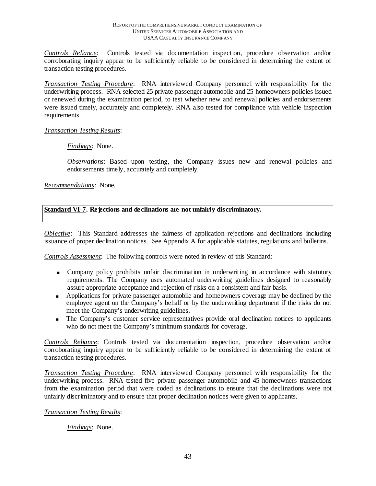*Controls Reliance*: Controls tested via documentation inspection, procedure observation and/or corroborating inquiry appear to be sufficiently reliable to be considered in determining the extent of transaction testing procedures.

*Transaction Testing Procedure*: RNA interviewed Company personnel with responsibility for the underwriting process. RNA selected 25 private passenger automobile and 25 homeowners policies issued or renewed during the examination period, to test whether new and renewal policies and endorsements were issued timely, accurately and completely. RNA also tested for compliance with vehicle inspection requirements.

#### *Transaction Testing Results*:

*Findings*:None.

*Observations*: Based upon testing, the Company issues new and renewal policies and endorsements timely, accurately and completely.

*Recommendations*: None.

**Standard VI-7. Rejections and declinations are not unfairly discriminatory.**

*Objective*: This Standard addresses the fairness of application rejections and declinations including issuance of proper declination notices. See Appendix A for applicable statutes, regulations and bulletins.

*Controls Assessment*: The following controls were noted in review of this Standard:

- Company policy prohibits unfair discrimination in underwriting in accordance with statutory requirements. The Company uses automated underwriting guidelines designed to reasonably assure appropriate acceptance and rejection of risks on a consistent and fair basis.
- **Applications for private passenger automobile and homeowners coverage may be declined by the** employee agent on the Company's behalf or by the underwriting department if the risks do not meet the Company's underwriting guidelines.
- The Company's customer service representatives provide oral declination notices to applicants who do not meet the Company's minimum standards for coverage.

*Controls Reliance*: Controls tested via documentation inspection, procedure observation and/or corroborating inquiry appear to be sufficiently reliable to be considered in determining the extent of transaction testing procedures.

*Transaction Testing Procedure*: RNA interviewed Company personnel with responsibility for the underwriting process. RNA tested five private passenger automobile and 45 homeowners transactions from the examination period that were coded as declinations to ensure that the declinations were not unfairly discriminatory and to ensure that proper declination notices were given to applicants.

*Transaction Testing Results*:

*Findings*:None.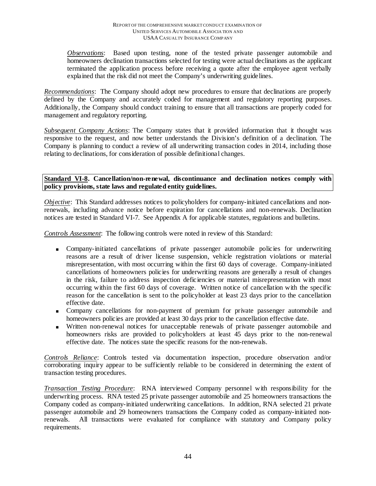*Observations*:Based upon testing, none of the tested private passenger automobile and homeowners declination transactions selected for testing were actual declinations as the applicant terminated the application process before receiving a quote after the employee agent verbally explained that the risk did not meet the Company's underwriting guidelines.

*Recommendations*: The Company should adopt new procedures to ensure that declinations are properly defined by the Company and accurately coded for management and regulatory reporting purposes. Additionally, the Company should conduct training to ensure that all transactions are properly coded for management and regulatory reporting.

*Subsequent Company Actions*: The Company states that it provided information that it thought was responsive to the request, and now better understands the Division's definition of a declination. The Company is planning to conduct a review of all underwriting transaction codes in 2014, including those relating to declinations, for consideration of possible definitional changes.

**Standard VI-8. Cancellation/non-renewal, discontinuance and declination notices comply with policy provisions, state laws and regulated entity guidelines.**

*Objective*: This Standard addresses notices to policyholders for company-initiated cancellations and nonrenewals, including advance notice before expiration for cancellations and non-renewals. Declination notices are tested in Standard VI-7. See Appendix A for applicable statutes, regulations and bulletins.

*Controls Assessment*: The following controls were noted in review of this Standard:

- Company-initiated cancellations of private passenger automobile policies for underwriting reasons are a result of driver license suspension, vehicle registration violations or material misrepresentation, with most occurring within the first 60 days of coverage. Company-initiated cancellations of homeowners policies for underwriting reasons are generally a result of changes in the risk, failure to address inspection deficiencies or material misrepresentation with most occurring within the first 60 days of coverage. Written notice of cancellation with the specific reason for the cancellation is sent to the policyholder at least 23 days prior to the cancellation effective date.
- Company cancellations for non-payment of premium for private passenger automobile and homeowners policies are provided at least 30 days prior to the cancellation effective date.
- Written non-renewal notices for unacceptable renewals of private passenger automobile and homeowners risks are provided to policyholders at least 45 days prior to the non-renewal effective date. The notices state the specific reasons for the non-renewals.

*Controls Reliance*: Controls tested via documentation inspection, procedure observation and/or corroborating inquiry appear to be sufficiently reliable to be considered in determining the extent of transaction testing procedures.

*Transaction Testing Procedure*: RNA interviewed Company personnel with responsibility for the underwriting process. RNA tested 25 private passenger automobile and 25 homeowners transactions the Company coded as company-initiated underwriting cancellations. In addition, RNA selected 21 private passenger automobile and 29 homeowners transactions the Company coded as company-initiated nonrenewals. All transactions were evaluated for compliance with statutory and Company policy requirements.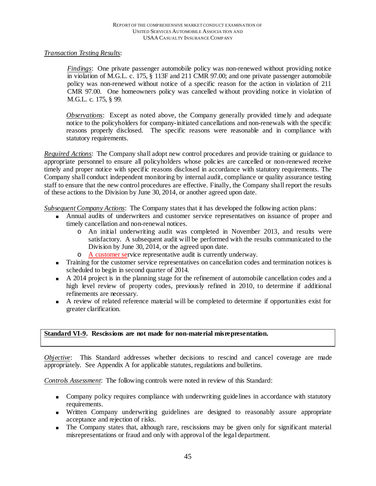## *Transaction Testing Results*:

*Findings*: One private passenger automobile policy was non-renewed without providing notice in violation of M.G.L. c. 175, § 113F and 211 CMR 97.00; and one private passenger automobile policy was non-renewed without notice of a specific reason for the action in violation of 211 CMR 97.00. One homeowners policy was cancelled without providing notice in violation of M.G.L. c. 175, § 99.

*Observations*:Except as noted above, the Company generally provided timely and adequate notice to the policyholders for company-initiated cancellations and non-renewals with the specific reasons properly disclosed. The specific reasons were reasonable and in compliance with statutory requirements.

*Required Actions*: The Company shall adopt new control procedures and provide training or guidance to appropriate personnel to ensure all policyholders whose policies are cancelled or non-renewed receive timely and proper notice with specific reasons disclosed in accordance with statutory requirements. The Company shall conduct independent monitoring by internal audit, compliance or quality assurance testing staff to ensure that the new control procedures are effective. Finally, the Company shall report the results of these actions to the Division by June 30, 2014, or another agreed upon date.

*Subsequent Company Actions*: The Company states that it has developed the following action plans:

- Annual audits of underwriters and customer service representatives on issuance of proper and timely cancellation and non-renewal notices.
	- o An initial underwriting audit was completed in November 2013, and results were satisfactory. A subsequent audit will be performed with the results communicated to the Division by June 30, 2014, or the agreed upon date.
	- o A customer service representative audit is currently underway.
- Training for the customer service representatives on cancellation codes and termination notices is scheduled to begin in second quarter of 2014.
- A 2014 project is in the planning stage for the refinement of automobile cancellation codes and a high level review of property codes, previously refined in 2010, to determine if additional refinements are necessary.
- A review of related reference material will be completed to determine if opportunities exist for greater clarification.

#### **Standard VI-9. Rescissions are not made for non-material misrepresentation.**

*Objective*: This Standard addresses whether decisions to rescind and cancel coverage are made appropriately. See Appendix A for applicable statutes, regulations and bulletins.

*Controls Assessment*: The following controls were noted in review of this Standard:

- Company policy requires compliance with underwriting guidelines in accordance with statutory requirements.
- Written Company underwriting guidelines are designed to reasonably assure appropriate acceptance and rejection of risks.
- The Company states that, although rare, rescissions may be given only for significant material misrepresentations or fraud and only with approval of the legal department.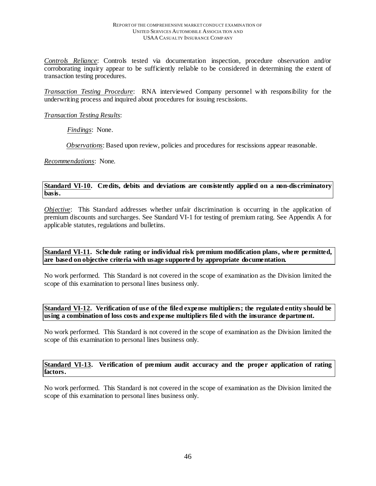*Controls Reliance*: Controls tested via documentation inspection, procedure observation and/or corroborating inquiry appear to be sufficiently reliable to be considered in determining the extent of transaction testing procedures.

*Transaction Testing Procedure*: RNA interviewed Company personnel with responsibility for the underwriting process and inquired about procedures for issuing rescissions.

#### *Transaction Testing Results*:

*Findings*:None.

*Observations*: Based upon review, policies and procedures for rescissions appear reasonable.

*Recommendations*: None.

#### **Standard VI-10. Credits, debits and deviations are consistently applied on a non-discriminatory basis.**

*Objective*: This Standard addresses whether unfair discrimination is occurring in the application of premium discounts and surcharges. See Standard VI-1 for testing of premium rating. See Appendix A for applicable statutes, regulations and bulletins.

## **Standard VI-11. Schedule rating or individual risk premium modification plans, where permitted, are based on objective criteria with usage supported by appropriate documentation.**

No work performed. This Standard is not covered in the scope of examination as the Division limited the scope of this examination to personal lines business only.

#### **Standard VI-12. Verification of use of the filed expense multipliers; the regulated entity should be using a combination of loss costs and expense multipliers filed with the insurance department.**

No work performed. This Standard is not covered in the scope of examination as the Division limited the scope of this examination to personal lines business only.

#### **Standard VI-13. Verification of premium audit accuracy and the proper application of rating factors.**

No work performed. This Standard is not covered in the scope of examination as the Division limited the scope of this examination to personal lines business only.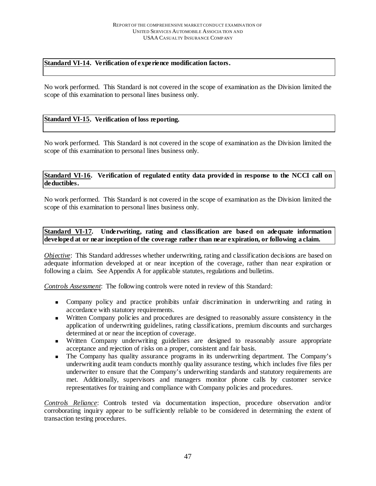## **Standard VI-14. Verification of experience modification factors.**

No work performed. This Standard is not covered in the scope of examination as the Division limited the scope of this examination to personal lines business only.

## **Standard VI-15. Verification of loss reporting.**

No work performed. This Standard is not covered in the scope of examination as the Division limited the scope of this examination to personal lines business only.

## **Standard VI-16. Verification of regulated entity data provided in response to the NCCI call on deductibles.**

No work performed. This Standard is not covered in the scope of examination as the Division limited the scope of this examination to personal lines business only.

## **Standard VI-17. Underwriting, rating and classification are based on adequate information developed at or near inception of the coverage rather than near expiration, or following a claim.**

*Objective*: This Standard addresses whether underwriting, rating and classification decisions are based on adequate information developed at or near inception of the coverage, rather than near expiration or following a claim. See Appendix A for applicable statutes, regulations and bulletins.

*Controls Assessment*: The following controls were noted in review of this Standard:

- Company policy and practice prohibits unfair discrimination in underwriting and rating in accordance with statutory requirements.
- Written Company policies and procedures are designed to reasonably assure consistency in the application of underwriting guidelines, rating classifications, premium discounts and surcharges determined at or near the inception of coverage.
- Written Company underwriting guidelines are designed to reasonably assure appropriate acceptance and rejection of risks on a proper, consistent and fair basis.
- The Company has quality assurance programs in its underwriting department. The Company's underwriting audit team conducts monthly quality assurance testing, which includes five files per underwriter to ensure that the Company's underwriting standards and statutory requirements are met. Additionally, supervisors and managers monitor phone calls by customer service representatives for training and compliance with Company policies and procedures.

*Controls Reliance*: Controls tested via documentation inspection, procedure observation and/or corroborating inquiry appear to be sufficiently reliable to be considered in determining the extent of transaction testing procedures.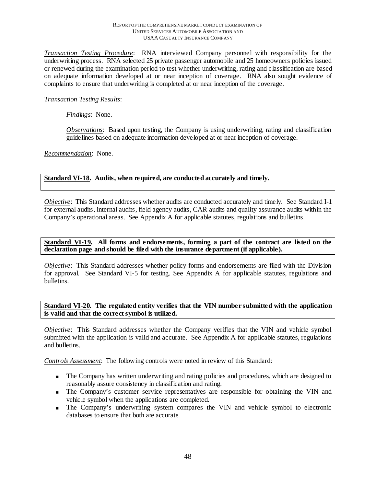#### REPORT OF THE COMPREHENSIVE MARKET CONDUCT EXAMINATION OF UNITED SERVICES AUTOMOBILE ASSOCIA TION AND USAA CASUALTY INSURANCE COMPANY

*Transaction Testing Procedure*: RNA interviewed Company personnel with responsibility for the underwriting process. RNA selected 25 private passenger automobile and 25 homeowners policies issued or renewed during the examination period to test whether underwriting, rating and classification are based on adequate information developed at or near inception of coverage. RNA also sought evidence of complaints to ensure that underwriting is completed at or near inception of the coverage.

## *Transaction Testing Results*:

## *Findings*:None.

*Observations*: Based upon testing, the Company is using underwriting, rating and classification guidelines based on adequate information developed at or near inception of coverage.

*Recommendation*: None.

## **Standard VI-18. Audits, when required, are conducted accurately and timely.**

*Objective*: This Standard addresses whether audits are conducted accurately and timely. See Standard I-1 for external audits, internal audits, field agency audits, CAR audits and quality assurance audits within the Company's operational areas. See Appendix A for applicable statutes, regulations and bulletins.

### **Standard VI-19. All forms and endorsements, forming a part of the contract are listed on the declaration page and should be filed with the insurance department (if applicable).**

*Objective*: This Standard addresses whether policy forms and endorsements are filed with the Division for approval. See Standard VI-5 for testing. See Appendix A for applicable statutes, regulations and bulletins.

## **Standard VI-20. The regulated entity verifies that the VIN number submitted with the application is valid and that the correct symbol is utilized.**

*Objective*: This Standard addresses whether the Company verifies that the VIN and vehicle symbol submitted with the application is valid and accurate. See Appendix A for applicable statutes, regulations and bulletins.

*Controls Assessment*: The following controls were noted in review of this Standard:

- The Company has written underwriting and rating policies and procedures, which are designed to reasonably assure consistency in classification and rating.
- The Company's customer service representatives are responsible for obtaining the VIN and vehicle symbol when the applications are completed.
- The Company's underwriting system compares the VIN and vehicle symbol to electronic databases to ensure that both are accurate.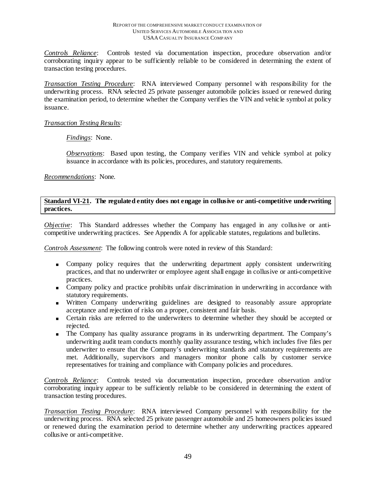*Controls Reliance*: Controls tested via documentation inspection, procedure observation and/or corroborating inquiry appear to be sufficiently reliable to be considered in determining the extent of transaction testing procedures.

*Transaction Testing Procedure*: RNA interviewed Company personnel with responsibility for the underwriting process. RNA selected 25 private passenger automobile policies issued or renewed during the examination period, to determine whether the Company verifies the VIN and vehicle symbol at policy issuance.

#### *Transaction Testing Results*:

*Findings*:None.

*Observations*: Based upon testing, the Company verifies VIN and vehicle symbol at policy issuance in accordance with its policies, procedures, and statutory requirements.

*Recommendations*: None.

## **Standard VI-21. The regulated entity does not engage in collusive or anti-competitive underwriting practices.**

*Objective*: This Standard addresses whether the Company has engaged in any collusive or anticompetitive underwriting practices. See Appendix A for applicable statutes, regulations and bulletins.

*Controls Assessment*: The following controls were noted in review of this Standard:

- Company policy requires that the underwriting department apply consistent underwriting practices, and that no underwriter or employee agent shall engage in collusive or anti-competitive practices.
- Company policy and practice prohibits unfair discrimination in underwriting in accordance with statutory requirements.
- Written Company underwriting guidelines are designed to reasonably assure appropriate acceptance and rejection of risks on a proper, consistent and fair basis.
- Certain risks are referred to the underwriters to determine whether they should be accepted or rejected.
- The Company has quality assurance programs in its underwriting department. The Company's underwriting audit team conducts monthly quality assurance testing, which includes five files per underwriter to ensure that the Company's underwriting standards and statutory requirements are met. Additionally, supervisors and managers monitor phone calls by customer service representatives for training and compliance with Company policies and procedures.

*Controls Reliance*: Controls tested via documentation inspection, procedure observation and/or corroborating inquiry appear to be sufficiently reliable to be considered in determining the extent of transaction testing procedures.

*Transaction Testing Procedure*: RNA interviewed Company personnel with responsibility for the underwriting process. RNA selected 25 private passenger automobile and 25 homeowners policies issued or renewed during the examination period to determine whether any underwriting practices appeared collusive or anti-competitive.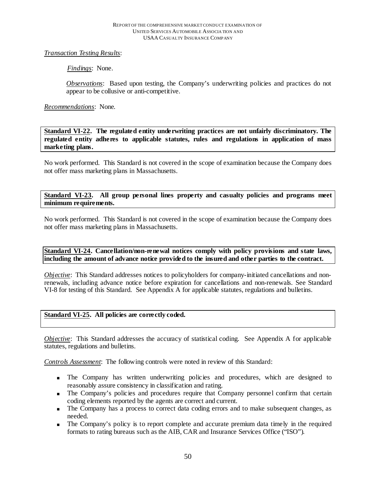## *Transaction Testing Results*:

*Findings*:None.

*Observations*: Based upon testing, the Company's underwriting policies and practices do not appear to be collusive or anti-competitive.

## *Recommendations*: None.

**Standard VI-22. The regulated entity underwriting practices are not unfairly discriminatory. The regulated entity adheres to applicable statutes, rules and regulations in application of mass marketing plans.** 

No work performed. This Standard is not covered in the scope of examination because the Company does not offer mass marketing plans in Massachusetts.

#### **Standard VI-23. All group personal lines property and casualty policies and programs meet minimum requirements.**

No work performed. This Standard is not covered in the scope of examination because the Company does not offer mass marketing plans in Massachusetts.

## **Standard VI-24. Cancellation/non-renewal notices comply with policy provisions and state laws, including the amount of advance notice provided to the insured and other parties to the contract.**

*Objective*: This Standard addresses notices to policyholders for company-initiated cancellations and nonrenewals, including advance notice before expiration for cancellations and non-renewals. See Standard VI-8 for testing of this Standard. See Appendix A for applicable statutes, regulations and bulletins.

#### **Standard VI-25. All policies are correctly coded.**

*Objective*: This Standard addresses the accuracy of statistical coding. See Appendix A for applicable statutes, regulations and bulletins.

*Controls Assessment*: The following controls were noted in review of this Standard:

- The Company has written underwriting policies and procedures, which are designed to reasonably assure consistency in classification and rating.
- The Company's policies and procedures require that Company personnel confirm that certain coding elements reported by the agents are correct and current.
- The Company has a process to correct data coding errors and to make subsequent changes, as needed.
- The Company's policy is to report complete and accurate premium data timely in the required formats to rating bureaus such as the AIB, CAR and Insurance Services Office ("ISO").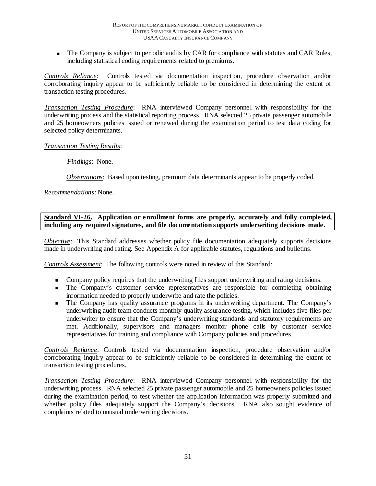The Company is subject to periodic audits by CAR for compliance with statutes and CAR Rules, including statistical coding requirements related to premiums.

*Controls Reliance*: Controls tested via documentation inspection, procedure observation and/or corroborating inquiry appear to be sufficiently reliable to be considered in determining the extent of transaction testing procedures.

*Transaction Testing Procedure*: RNA interviewed Company personnel with responsibility for the underwriting process and the statistical reporting process. RNA selected 25 private passenger automobile and 25 homeowners policies issued or renewed during the examination period to test data coding for selected policy determinants.

## *Transaction Testing Results*:

*Findings*:None.

*Observations*:Based upon testing, premium data determinants appear to be properly coded.

*Recommendations*: None.

## **Standard VI-26. Application or enrollment forms are properly, accurately and fully completed, including any required signatures, and file documentation supports underwriting decisions made.**

*Objective*: This Standard addresses whether policy file documentation adequately supports decisions made in underwriting and rating. See Appendix A for applicable statutes, regulations and bulletins.

*Controls Assessment*: The following controls were noted in review of this Standard:

- Company policy requires that the underwriting files support underwriting and rating decisions.
- The Company's customer service representatives are responsible for completing obtaining information needed to properly underwrite and rate the policies.
- The Company has quality assurance programs in its underwriting department. The Company's underwriting audit team conducts monthly quality assurance testing, which includes five files per underwriter to ensure that the Company's underwriting standards and statutory requirements are met. Additionally, supervisors and managers monitor phone calls by customer service representatives for training and compliance with Company policies and procedures.

*Controls Reliance*: Controls tested via documentation inspection, procedure observation and/or corroborating inquiry appear to be sufficiently reliable to be considered in determining the extent of transaction testing procedures.

*Transaction Testing Procedure*: RNA interviewed Company personnel with responsibility for the underwriting process. RNA selected 25 private passenger automobile and 25 homeowners policies issued during the examination period, to test whether the application information was properly submitted and whether policy files adequately support the Company's decisions. RNA also sought evidence of complaints related to unusual underwriting decisions.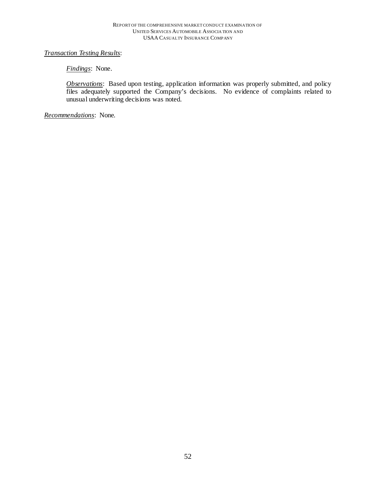## *Transaction Testing Results*:

## *Findings*:None.

**Observations**: Based upon testing, application information was properly submitted, and policy files adequately supported the Company's decisions. No evidence of complaints related to unusual underwriting decisions was noted.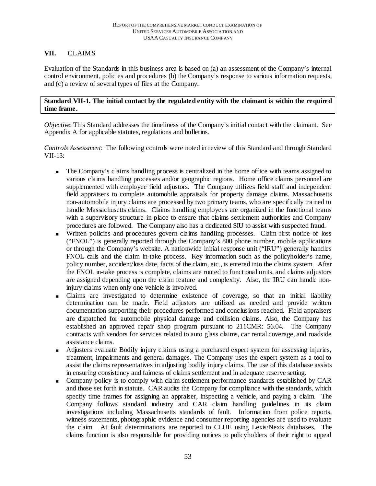## **VII.** CLAIMS

Evaluation of the Standards in this business area is based on (a) an assessment of the Company's internal control environment, policies and procedures (b) the Company's response to various information requests, and (c) a review of several types of files at the Company.

## **Standard VII-1. The initial contact by the regulated entity with the claimant is within the required time frame.**

*Objective* : This Standard addresses the timeliness of the Company's initial contact with the claimant. See Appendix A for applicable statutes, regulations and bulletins.

*Controls Assessment*: The following controls were noted in review of this Standard and through Standard VII-13:

- The Company's claims handling process is centralized in the home office with teams assigned to various claims handling processes and/or geographic regions. Home office claims personnel are supplemented with employee field adjustors. The Company utilizes field staff and independent field appraisers to complete automobile appraisals for property damage claims. Massachusetts non-automobile injury claims are processed by two primary teams, who are specifically trained to handle Massachusetts claims. Claims handling employees are organized in the functional teams with a supervisory structure in place to ensure that claims settlement authorities and Company procedures are followed. The Company also has a dedicated SIU to assist with suspected fraud.
- Written policies and procedures govern claims handling processes. Claim first notice of loss ("FNOL") is generally reported through the Company's 800 phone number, mobile applications or through the Company's website. A nationwide initial response unit ("IRU") generally handles FNOL calls and the claim in-take process. Key information such as the policyholder's name, policy number, accident/loss date, facts of the claim, etc., is entered into the claims system. After the FNOL in-take process is complete, claims are routed to functional units, and claims adjustors are assigned depending upon the claim feature and complexity. Also, the IRU can handle noninjury claims when only one vehicle is involved.
- Claims are investigated to determine existence of coverage, so that an initial liability determination can be made. Field adjustors are utilized as needed and provide written documentation supporting their procedures performed and conclusions reached. Field appraisers are dispatched for automobile physical damage and collision claims. Also, the Company has established an approved repair shop program pursuant to 211CMR: 56.04. The Company contracts with vendors for services related to auto glass claims, car rental coverage, and roadside assistance claims.
- Adjusters evaluate Bodily injury claims using a purchased expert system for assessing injuries, treatment, impairments and general damages. The Company uses the expert system as a tool to assist the claims representatives in adjusting bodily injury claims. The use of this database assists in ensuring consistency and fairness of claims settlement and in adequate reserve setting.
- Company policy is to comply with claim settlement performance standards established by CAR and those set forth in statute. CAR audits the Company for compliance with the standards, which specify time frames for assigning an appraiser, inspecting a vehicle, and paying a claim. The Company follows standard industry and CAR claim handling guidelines in its claim investigations including Massachusetts standards of fault. Information from police reports, witness statements, photographic evidence and consumer reporting agencies are used to evaluate the claim. At fault determinations are reported to CLUE using Lexis/Nexis databases. The claims function is also responsible for providing notices to policyholders of their right to appeal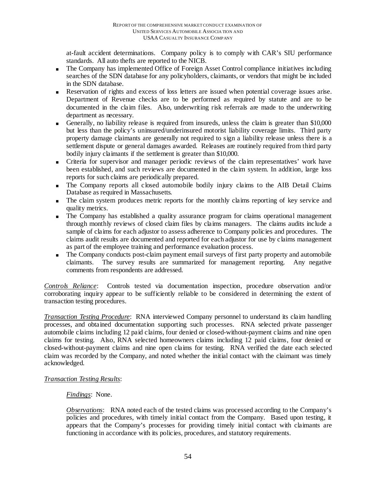at-fault accident determinations. Company policy is to comply with CAR's SIU performance standards. All auto thefts are reported to the NICB.

- The Company has implemented Office of Foreign Asset Control compliance initiatives including searches of the SDN database for any policyholders, claimants, or vendors that might be included in the SDN database.
- Reservation of rights and excess of loss letters are issued when potential coverage issues arise. Department of Revenue checks are to be performed as required by statute and are to be documented in the claim files. Also, underwriting risk referrals are made to the underwriting department as necessary.
- Generally, no liability release is required from insureds, unless the claim is greater than \$10,000 but less than the policy's uninsured/underinsured motorist liability coverage limits. Third party property damage claimants are generally not required to sign a liability release unless there is a settlement dispute or general damages awarded. Releases are routinely required from third party bodily injury claimants if the settlement is greater than \$10,000.
- Criteria for supervisor and manager periodic reviews of the claim representatives' work have been established, and such reviews are documented in the claim system. In addition, large loss reports for such claims are periodically prepared.
- The Company reports all closed automobile bodily injury claims to the AIB Detail Claims Database as required in Massachusetts.
- The claim system produces metric reports for the monthly claims reporting of key service and quality metrics.
- The Company has established a quality assurance program for claims operational management through monthly reviews of closed claim files by claims managers. The claims audits include a sample of claims for each adjustor to assess adherence to Company policies and procedures. The claims audit results are documented and reported for each adjustor for use by claims management as part of the employee training and performance evaluation process.
- The Company conducts post-claim payment email surveys of first party property and automobile claimants. The survey results are summarized for management reporting. Any negative comments from respondents are addressed.

*Controls Reliance*: Controls tested via documentation inspection, procedure observation and/or corroborating inquiry appear to be sufficiently reliable to be considered in determining the extent of transaction testing procedures.

*Transaction Testing Procedure*: RNA interviewed Company personnel to understand its claim handling processes, and obtained documentation supporting such processes. RNA selected private passenger automobile claims including 12 paid claims, four denied or closed-without-payment claims and nine open claims for testing. Also, RNA selected homeowners claims including 12 paid claims, four denied or closed-without-payment claims and nine open claims for testing. RNA verified the date each selected claim was recorded by the Company, and noted whether the initial contact with the claimant was timely acknowledged.

## *Transaction Testing Results*:

#### *Findings*: None.

*Observations*: RNA noted each of the tested claims was processed according to the Company's policies and procedures, with timely initial contact from the Company. Based upon testing, it appears that the Company's processes for providing timely initial contact with claimants are functioning in accordance with its policies, procedures, and statutory requirements.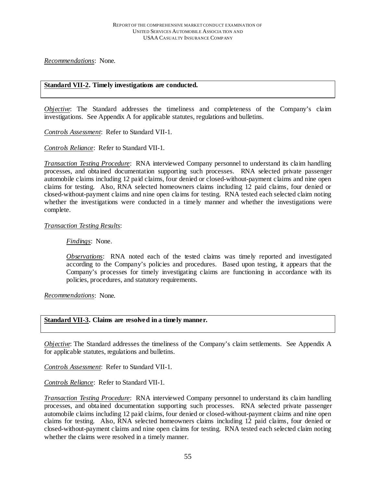*Recommendations*: None.

#### **Standard VII-2. Timely investigations are conducted.**

*Objective*: The Standard addresses the timeliness and completeness of the Company's claim investigations. See Appendix A for applicable statutes, regulations and bulletins.

*Controls Assessment*: Refer to Standard VII-1.

*Controls Reliance*: Refer to Standard VII-1.

*Transaction Testing Procedure*: RNA interviewed Company personnel to understand its claim handling processes, and obtained documentation supporting such processes. RNA selected private passenger automobile claims including 12 paid claims, four denied or closed-without-payment claims and nine open claims for testing. Also, RNA selected homeowners claims including 12 paid claims, four denied or closed-without-payment claims and nine open claims for testing. RNA tested each selected claim noting whether the investigations were conducted in a timely manner and whether the investigations were complete.

#### *Transaction Testing Results*:

*Findings*: None.

*Observations*: RNA noted each of the tested claims was timely reported and investigated according to the Company's policies and procedures. Based upon testing, it appears that the Company's processes for timely investigating claims are functioning in accordance with its policies, procedures, and statutory requirements.

*Recommendations*: None.

#### **Standard VII-3. Claims are resolved in a timely manner.**

*Objective*: The Standard addresses the timeliness of the Company's claim settlements. See Appendix A for applicable statutes, regulations and bulletins.

*Controls Assessment*: Refer to Standard VII-1.

*Controls Reliance*: Refer to Standard VII-1.

*Transaction Testing Procedure*: RNA interviewed Company personnel to understand its claim handling processes, and obtained documentation supporting such processes. RNA selected private passenger automobile claims including 12 paid claims, four denied or closed-without-payment claims and nine open claims for testing. Also, RNA selected homeowners claims including 12 paid claims, four denied or closed-without-payment claims and nine open claims for testing. RNA tested each selected claim noting whether the claims were resolved in a timely manner.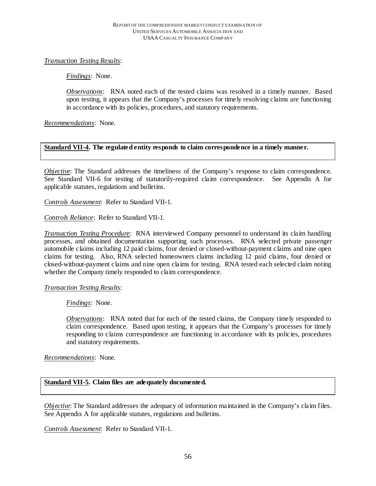## *Transaction Testing Results*:

*Findings*: None.

*Observations*: RNA noted each of the tested claims was resolved in a timely manner. Based upon testing, it appears that the Company's processes for timely resolving claims are functioning in accordance with its policies, procedures, and statutory requirements.

*Recommendations*: None.

## **Standard VII-4. The regulated entity responds to claim correspondence in a timely manner.**

*Objective*: The Standard addresses the timeliness of the Company's response to claim correspondence. See Standard VII-6 for testing of statutorily-required claim correspondence. See Appendix A for applicable statutes, regulations and bulletins.

*Controls Assessment*: Refer to Standard VII-1.

*Controls Reliance*: Refer to Standard VII-1.

*Transaction Testing Procedure*: RNA interviewed Company personnel to understand its claim handling processes, and obtained documentation supporting such processes. RNA selected private passenger automobile claims including 12 paid claims, four denied or closed-without-payment claims and nine open claims for testing. Also, RNA selected homeowners claims including 12 paid claims, four denied or closed-without-payment claims and nine open claims for testing. RNA tested each selected claim noting whether the Company timely responded to claim correspondence.

#### *Transaction Testing Results*:

*Findings*: None.

*Observations*: RNA noted that for each of the tested claims, the Company timely responded to claim correspondence. Based upon testing, it appears that the Company's processes for timely responding to claims correspondence are functioning in accordance with its policies, procedures and statutory requirements.

*Recommendations*: None.

## **Standard VII-5. Claim files are adequately documented.**

*Objective*: The Standard addresses the adequacy of information maintained in the Company's claim files. See Appendix A for applicable statutes, regulations and bulletins.

*Controls Assessment*: Refer to Standard VII-1.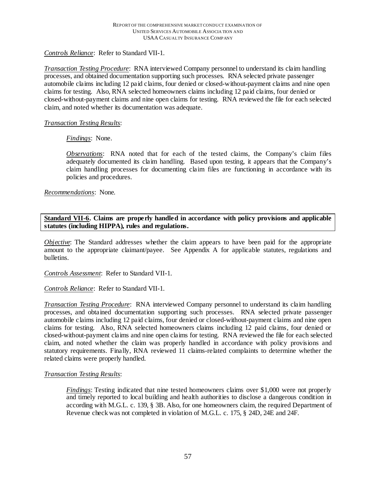## *Controls Reliance*: Refer to Standard VII-1.

*Transaction Testing Procedure*: RNA interviewed Company personnel to understand its claim handling processes, and obtained documentation supporting such processes. RNA selected private passenger automobile claims including 12 paid claims, four denied or closed-without-payment claims and nine open claims for testing. Also, RNA selected homeowners claims including 12 paid claims, four denied or closed-without-payment claims and nine open claims for testing. RNA reviewed the file for each selected claim, and noted whether its documentation was adequate.

## *Transaction Testing Results*:

## *Findings*: None.

*Observations*: RNA noted that for each of the tested claims, the Company's claim files adequately documented its claim handling. Based upon testing, it appears that the Company's claim handling processes for documenting claim files are functioning in accordance with its policies and procedures.

*Recommendations*: None.

## **Standard VII-6. Claims are properly handled in accordance with policy provisions and applicable statutes (including HIPPA), rules and regulations.**

*Objective*: The Standard addresses whether the claim appears to have been paid for the appropriate amount to the appropriate claimant/payee. See Appendix A for applicable statutes, regulations and bulletins.

*Controls Assessment*: Refer to Standard VII-1.

*Controls Reliance*: Refer to Standard VII-1.

*Transaction Testing Procedure*: RNA interviewed Company personnel to understand its claim handling processes, and obtained documentation supporting such processes. RNA selected private passenger automobile claims including 12 paid claims, four denied or closed-without-payment claims and nine open claims for testing. Also, RNA selected homeowners claims including 12 paid claims, four denied or closed-without-payment claims and nine open claims for testing. RNA reviewed the file for each selected claim, and noted whether the claim was properly handled in accordance with policy provisions and statutory requirements. Finally, RNA reviewed 11 claims-related complaints to determine whether the related claims were properly handled.

## *Transaction Testing Results*:

*Findings*: Testing indicated that nine tested homeowners claims over \$1,000 were not properly and timely reported to local building and health authorities to disclose a dangerous condition in according with M.G.L. c. 139, § 3B. Also, for one homeowners claim, the required Department of Revenue check was not completed in violation of M.G.L. c. 175, § 24D, 24E and 24F.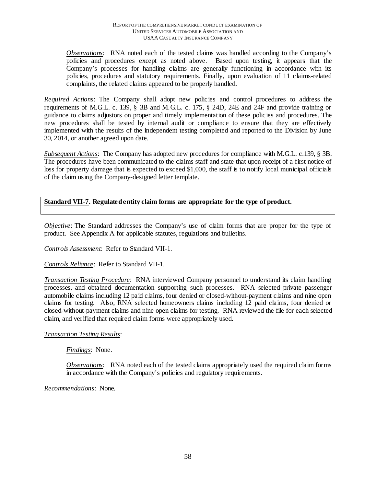*Observations*: RNA noted each of the tested claims was handled according to the Company's policies and procedures except as noted above. Based upon testing, it appears that the Company's processes for handling claims are generally functioning in accordance with its policies, procedures and statutory requirements. Finally, upon evaluation of 11 claims-related complaints, the related claims appeared to be properly handled.

*Required Actions*: The Company shall adopt new policies and control procedures to address the requirements of M.G.L. c. 139, § 3B and M.G.L. c. 175, § 24D, 24E and 24F and provide training or guidance to claims adjustors on proper and timely implementation of these policies and procedures. The new procedures shall be tested by internal audit or compliance to ensure that they are effectively implemented with the results of the independent testing completed and reported to the Division by June 30, 2014, or another agreed upon date.

*Subsequent Actions*: The Company has adopted new procedures for compliance with M.G.L. c.139, § 3B. The procedures have been communicated to the claims staff and state that upon receipt of a first notice of loss for property damage that is expected to exceed \$1,000, the staff is to notify local municipal officials of the claim using the Company-designed letter template.

**Standard VII-7. Regulated entity claim forms are appropriate for the type of product.** 

*Objective*: The Standard addresses the Company's use of claim forms that are proper for the type of product. See Appendix A for applicable statutes, regulations and bulletins.

*Controls Assessment*: Refer to Standard VII-1.

*Controls Reliance*: Refer to Standard VII-1.

*Transaction Testing Procedure*: RNA interviewed Company personnel to understand its claim handling processes, and obtained documentation supporting such processes. RNA selected private passenger automobile claims including 12 paid claims, four denied or closed-without-payment claims and nine open claims for testing. Also, RNA selected homeowners claims including 12 paid claims, four denied or closed-without-payment claims and nine open claims for testing. RNA reviewed the file for each selected claim, and verified that required claim forms were appropriately used.

*Transaction Testing Results*:

*Findings*: None.

*Observations*: RNA noted each of the tested claims appropriately used the required claim forms in accordance with the Company's policies and regulatory requirements.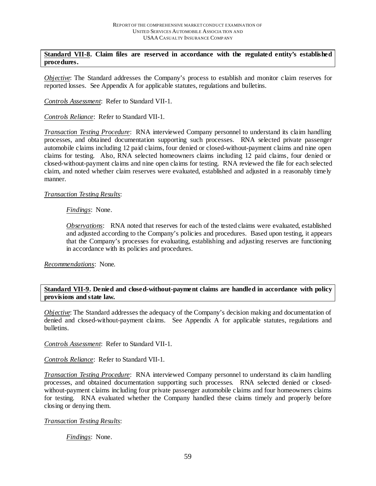#### **Standard VII-8. Claim files are reserved in accordance with the regulated entity's established procedures.**

*Objective*: The Standard addresses the Company's process to establish and monitor claim reserves for reported losses. See Appendix A for applicable statutes, regulations and bulletins.

*Controls Assessment*: Refer to Standard VII-1.

*Controls Reliance*: Refer to Standard VII-1.

*Transaction Testing Procedure*: RNA interviewed Company personnel to understand its claim handling processes, and obtained documentation supporting such processes. RNA selected private passenger automobile claims including 12 paid claims, four denied or closed-without-payment claims and nine open claims for testing. Also, RNA selected homeowners claims including 12 paid claims, four denied or closed-without-payment claims and nine open claims for testing. RNA reviewed the file for each selected claim, and noted whether claim reserves were evaluated, established and adjusted in a reasonably timely manner.

## *Transaction Testing Results*:

## *Findings*: None.

*Observations*: RNA noted that reserves for each of the tested claims were evaluated, established and adjusted according to the Company's policies and procedures. Based upon testing, it appears that the Company's processes for evaluating, establishing and adjusting reserves are functioning in accordance with its policies and procedures.

*Recommendations*: None.

## **Standard VII-9. Denied and closed-without-payment claims are handled in accordance with policy provisions and state law.**

*Objective*: The Standard addresses the adequacy of the Company's decision making and documentation of denied and closed-without-payment claims. See Appendix A for applicable statutes, regulations and bulletins.

*Controls Assessment*: Refer to Standard VII-1.

*Controls Reliance*: Refer to Standard VII-1.

*Transaction Testing Procedure*: RNA interviewed Company personnel to understand its claim handling processes, and obtained documentation supporting such processes. RNA selected denied or closedwithout-payment claims including four private passenger automobile claims and four homeowners claims for testing. RNA evaluated whether the Company handled these claims timely and properly before closing or denying them.

#### *Transaction Testing Results*:

*Findings*: None.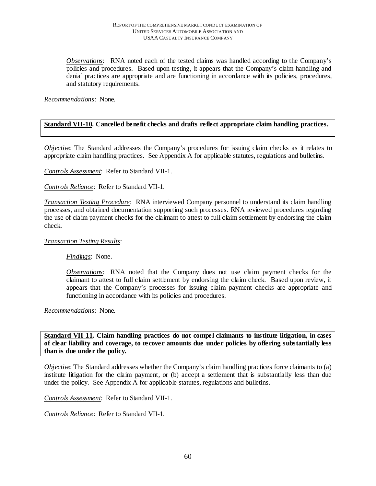*Observations*: RNA noted each of the tested claims was handled according to the Company's policies and procedures. Based upon testing, it appears that the Company's claim handling and denial practices are appropriate and are functioning in accordance with its policies, procedures, and statutory requirements.

## *Recommendations*: None.

## **Standard VII-10. Cancelled benefit checks and drafts reflect appropriate claim handling practices.**

*Objective*: The Standard addresses the Company's procedures for issuing claim checks as it relates to appropriate claim handling practices. See Appendix A for applicable statutes, regulations and bulletins.

*Controls Assessment*: Refer to Standard VII-1.

*Controls Reliance*: Refer to Standard VII-1.

*Transaction Testing Procedure*: RNA interviewed Company personnel to understand its claim handling processes, and obtained documentation supporting such processes. RNA reviewed procedures regarding the use of claim payment checks for the claimant to attest to full claim settlement by endorsing the claim check.

#### *Transaction Testing Results*:

*Findings*: None.

*Observations*: RNA noted that the Company does not use claim payment checks for the claimant to attest to full claim settlement by endorsing the claim check. Based upon review, it appears that the Company's processes for issuing claim payment checks are appropriate and functioning in accordance with its policies and procedures.

*Recommendations*: None.

**Standard VII-11. Claim handling practices do not compel claimants to institute litigation, in cases of clear liability and coverage, to recover amounts due under policies by offering substantially less than is due under the policy.** 

*Objective*: The Standard addresses whether the Company's claim handling practices force claimants to (a) institute litigation for the claim payment, or (b) accept a settlement that is substantially less than due under the policy. See Appendix A for applicable statutes, regulations and bulletins.

*Controls Assessment*: Refer to Standard VII-1.

*Controls Reliance*: Refer to Standard VII-1.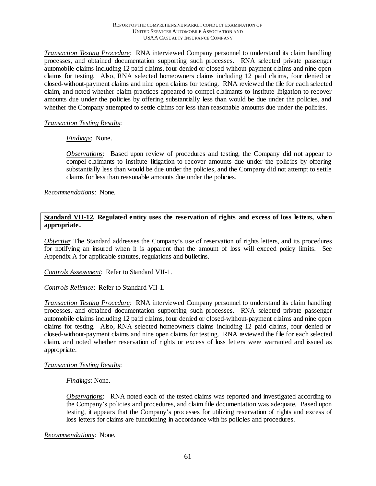*Transaction Testing Procedure*: RNA interviewed Company personnel to understand its claim handling processes, and obtained documentation supporting such processes. RNA selected private passenger automobile claims including 12 paid claims, four denied or closed-without-payment claims and nine open claims for testing. Also, RNA selected homeowners claims including 12 paid claims, four denied or closed-without-payment claims and nine open claims for testing. RNA reviewed the file for each selected claim, and noted whether claim practices appeared to compel claimants to institute litigation to recover amounts due under the policies by offering substantially less than would be due under the policies, and whether the Company attempted to settle claims for less than reasonable amounts due under the policies.

## *Transaction Testing Results*:

*Findings*: None.

*Observations*: Based upon review of procedures and testing, the Company did not appear to compel claimants to institute litigation to recover amounts due under the policies by offering substantially less than would be due under the policies, and the Company did not attempt to settle claims for less than reasonable amounts due under the policies.

*Recommendations*: None.

## **Standard VII-12. Regulated entity uses the reservation of rights and excess of loss letters, when appropriate.**

*Objective*: The Standard addresses the Company's use of reservation of rights letters, and its procedures for notifying an insured when it is apparent that the amount of loss will exceed policy limits. See Appendix A for applicable statutes, regulations and bulletins.

*Controls Assessment*: Refer to Standard VII-1.

*Controls Reliance*: Refer to Standard VII-1.

*Transaction Testing Procedure*: RNA interviewed Company personnel to understand its claim handling processes, and obtained documentation supporting such processes. RNA selected private passenger automobile claims including 12 paid claims, four denied or closed-without-payment claims and nine open claims for testing. Also, RNA selected homeowners claims including 12 paid claims, four denied or closed-without-payment claims and nine open claims for testing. RNA reviewed the file for each selected claim, and noted whether reservation of rights or excess of loss letters were warranted and issued as appropriate.

#### *Transaction Testing Results*:

*Findings*: None.

*Observations*: RNA noted each of the tested claims was reported and investigated according to the Company's policies and procedures, and claim file documentation was adequate. Based upon testing, it appears that the Company's processes for utilizing reservation of rights and excess of loss letters for claims are functioning in accordance with its policies and procedures.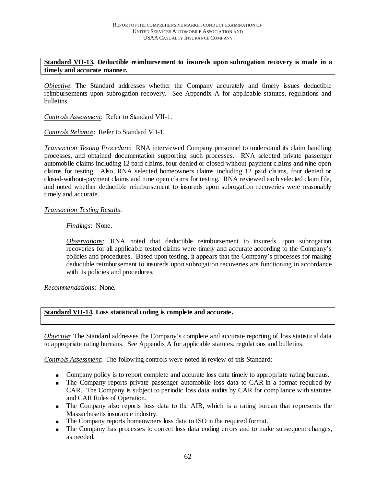### **Standard VII-13. Deductible reimbursement to insureds upon subrogation recovery is made in a timely and accurate manner.**

*Objective*: The Standard addresses whether the Company accurately and timely issues deductible reimbursements upon subrogation recovery. See Appendix A for applicable statutes, regulations and bulletins.

*Controls Assessment*: Refer to Standard VII-1.

*Controls Reliance*: Refer to Standard VII-1.

*Transaction Testing Procedure*: RNA interviewed Company personnel to understand its claim handling processes, and obtained documentation supporting such processes. RNA selected private passenger automobile claims including 12 paid claims, four denied or closed-without-payment claims and nine open claims for testing. Also, RNA selected homeowners claims including 12 paid claims, four denied or closed-without-payment claims and nine open claims for testing. RNA reviewed each selected claim file, and noted whether deductible reimbursement to insureds upon subrogation recoveries were reasonably timely and accurate.

#### *Transaction Testing Results*:

#### *Findings*: None.

*Observations*: RNA noted that deductible reimbursement to insureds upon subrogation recoveries for all applicable tested claims were timely and accurate according to the Company's policies and procedures. Based upon testing, it appears that the Company's processes for making deductible reimbursement to insureds upon subrogation recoveries are functioning in accordance with its policies and procedures.

*Recommendations*: None.

#### **Standard VII-14. Loss statistical coding is complete and accurate.**

*Objective* : The Standard addresses the Company's complete and accurate reporting of loss statistical data to appropriate rating bureaus. See Appendix A for applicable statutes, regulations and bulletins.

*Controls Assessment*: The following controls were noted in review of this Standard:

- **Company policy is to report complete and accurate loss data timely to appropriate rating bureaus.**
- The Company reports private passenger automobile loss data to CAR in a format required by CAR. The Company is subject to periodic loss data audits by CAR for compliance with statutes and CAR Rules of Operation.
- The Company also reports loss data to the AIB, which is a rating bureau that represents the Massachusetts insurance industry.
- The Company reports homeowners loss data to ISO in the required format.
- The Company has processes to correct loss data coding errors and to make subsequent changes, as needed.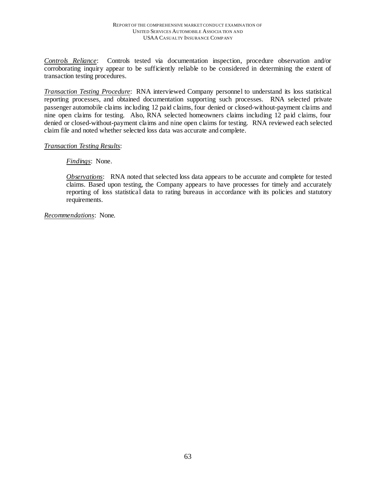*Controls Reliance*: Controls tested via documentation inspection, procedure observation and/or corroborating inquiry appear to be sufficiently reliable to be considered in determining the extent of transaction testing procedures.

*Transaction Testing Procedure*: RNA interviewed Company personnel to understand its loss statistical reporting processes, and obtained documentation supporting such processes. RNA selected private passenger automobile claims including 12 paid claims, four denied or closed-without-payment claims and nine open claims for testing. Also, RNA selected homeowners claims including 12 paid claims, four denied or closed-without-payment claims and nine open claims for testing. RNA reviewed each selected claim file and noted whether selected loss data was accurate and complete.

#### *Transaction Testing Results*:

#### *Findings*: None.

*Observations*: RNA noted that selected loss data appears to be accurate and complete for tested claims. Based upon testing, the Company appears to have processes for timely and accurately reporting of loss statistical data to rating bureaus in accordance with its policies and statutory requirements.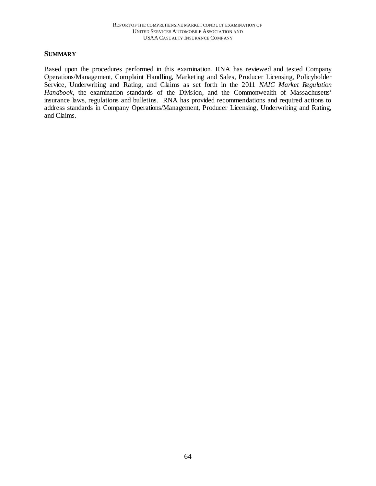### **SUMMARY**

Based upon the procedures performed in this examination, RNA has reviewed and tested Company Operations/Management, Complaint Handling, Marketing and Sales, Producer Licensing, Policyholder Service, Underwriting and Rating, and Claims as set forth in the 2011 *NAIC Market Regulation Handbook,* the examination standards of the Division, and the Commonwealth of Massachusetts' insurance laws, regulations and bulletins. RNA has provided recommendations and required actions to address standards in Company Operations/Management, Producer Licensing, Underwriting and Rating, and Claims.